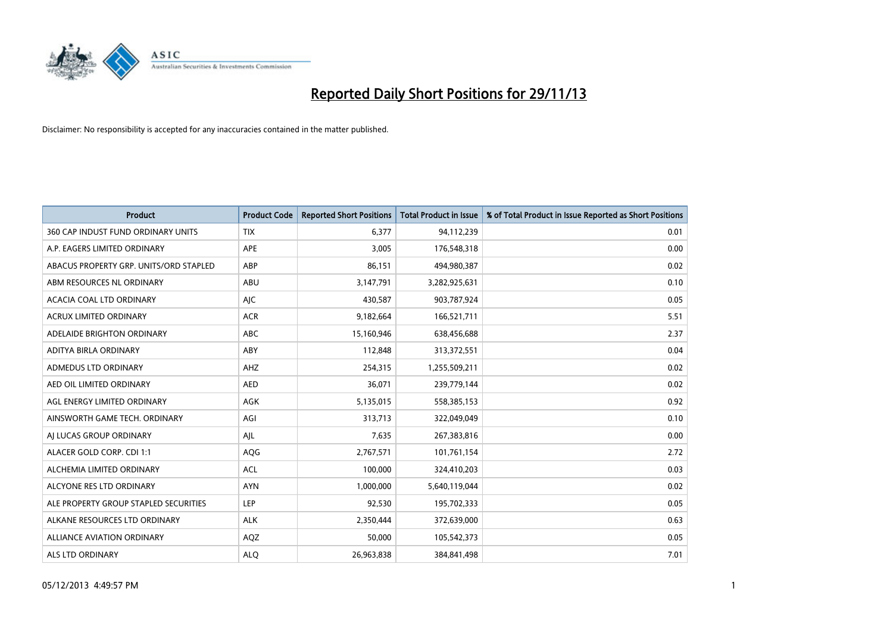

| Product                                | <b>Product Code</b> | <b>Reported Short Positions</b> | Total Product in Issue | % of Total Product in Issue Reported as Short Positions |
|----------------------------------------|---------------------|---------------------------------|------------------------|---------------------------------------------------------|
| 360 CAP INDUST FUND ORDINARY UNITS     | <b>TIX</b>          | 6,377                           | 94,112,239             | 0.01                                                    |
| A.P. EAGERS LIMITED ORDINARY           | APE                 | 3,005                           | 176,548,318            | 0.00                                                    |
| ABACUS PROPERTY GRP. UNITS/ORD STAPLED | ABP                 | 86,151                          | 494,980,387            | 0.02                                                    |
| ABM RESOURCES NL ORDINARY              | ABU                 | 3,147,791                       | 3,282,925,631          | 0.10                                                    |
| ACACIA COAL LTD ORDINARY               | AJC                 | 430,587                         | 903,787,924            | 0.05                                                    |
| <b>ACRUX LIMITED ORDINARY</b>          | <b>ACR</b>          | 9,182,664                       | 166,521,711            | 5.51                                                    |
| ADELAIDE BRIGHTON ORDINARY             | <b>ABC</b>          | 15,160,946                      | 638,456,688            | 2.37                                                    |
| ADITYA BIRLA ORDINARY                  | ABY                 | 112,848                         | 313,372,551            | 0.04                                                    |
| ADMEDUS LTD ORDINARY                   | AHZ                 | 254,315                         | 1,255,509,211          | 0.02                                                    |
| AED OIL LIMITED ORDINARY               | <b>AED</b>          | 36,071                          | 239,779,144            | 0.02                                                    |
| AGL ENERGY LIMITED ORDINARY            | AGK                 | 5,135,015                       | 558,385,153            | 0.92                                                    |
| AINSWORTH GAME TECH. ORDINARY          | AGI                 | 313,713                         | 322,049,049            | 0.10                                                    |
| AJ LUCAS GROUP ORDINARY                | AJL                 | 7,635                           | 267,383,816            | 0.00                                                    |
| ALACER GOLD CORP. CDI 1:1              | AQG                 | 2,767,571                       | 101,761,154            | 2.72                                                    |
| ALCHEMIA LIMITED ORDINARY              | <b>ACL</b>          | 100,000                         | 324,410,203            | 0.03                                                    |
| ALCYONE RES LTD ORDINARY               | <b>AYN</b>          | 1,000,000                       | 5,640,119,044          | 0.02                                                    |
| ALE PROPERTY GROUP STAPLED SECURITIES  | <b>LEP</b>          | 92,530                          | 195,702,333            | 0.05                                                    |
| ALKANE RESOURCES LTD ORDINARY          | <b>ALK</b>          | 2,350,444                       | 372,639,000            | 0.63                                                    |
| <b>ALLIANCE AVIATION ORDINARY</b>      | AQZ                 | 50,000                          | 105,542,373            | 0.05                                                    |
| <b>ALS LTD ORDINARY</b>                | <b>ALO</b>          | 26,963,838                      | 384, 841, 498          | 7.01                                                    |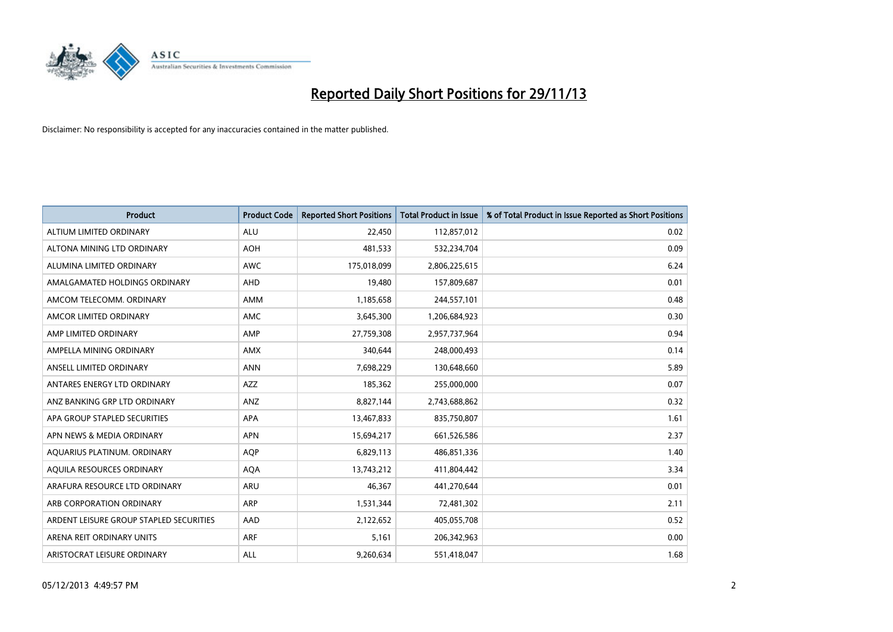

| <b>Product</b>                          | <b>Product Code</b> | <b>Reported Short Positions</b> | <b>Total Product in Issue</b> | % of Total Product in Issue Reported as Short Positions |
|-----------------------------------------|---------------------|---------------------------------|-------------------------------|---------------------------------------------------------|
| ALTIUM LIMITED ORDINARY                 | <b>ALU</b>          | 22,450                          | 112,857,012                   | 0.02                                                    |
| ALTONA MINING LTD ORDINARY              | <b>AOH</b>          | 481,533                         | 532,234,704                   | 0.09                                                    |
| ALUMINA LIMITED ORDINARY                | <b>AWC</b>          | 175,018,099                     | 2,806,225,615                 | 6.24                                                    |
| AMALGAMATED HOLDINGS ORDINARY           | AHD                 | 19,480                          | 157,809,687                   | 0.01                                                    |
| AMCOM TELECOMM, ORDINARY                | AMM                 | 1,185,658                       | 244,557,101                   | 0.48                                                    |
| AMCOR LIMITED ORDINARY                  | AMC                 | 3,645,300                       | 1,206,684,923                 | 0.30                                                    |
| AMP LIMITED ORDINARY                    | AMP                 | 27,759,308                      | 2,957,737,964                 | 0.94                                                    |
| AMPELLA MINING ORDINARY                 | AMX                 | 340,644                         | 248,000,493                   | 0.14                                                    |
| ANSELL LIMITED ORDINARY                 | <b>ANN</b>          | 7,698,229                       | 130,648,660                   | 5.89                                                    |
| ANTARES ENERGY LTD ORDINARY             | AZZ                 | 185,362                         | 255,000,000                   | 0.07                                                    |
| ANZ BANKING GRP LTD ORDINARY            | ANZ                 | 8,827,144                       | 2,743,688,862                 | 0.32                                                    |
| APA GROUP STAPLED SECURITIES            | APA                 | 13,467,833                      | 835,750,807                   | 1.61                                                    |
| APN NEWS & MEDIA ORDINARY               | <b>APN</b>          | 15,694,217                      | 661,526,586                   | 2.37                                                    |
| AQUARIUS PLATINUM. ORDINARY             | AQP                 | 6,829,113                       | 486,851,336                   | 1.40                                                    |
| AQUILA RESOURCES ORDINARY               | <b>AQA</b>          | 13,743,212                      | 411,804,442                   | 3.34                                                    |
| ARAFURA RESOURCE LTD ORDINARY           | ARU                 | 46,367                          | 441,270,644                   | 0.01                                                    |
| ARB CORPORATION ORDINARY                | ARP                 | 1,531,344                       | 72,481,302                    | 2.11                                                    |
| ARDENT LEISURE GROUP STAPLED SECURITIES | AAD                 | 2,122,652                       | 405,055,708                   | 0.52                                                    |
| ARENA REIT ORDINARY UNITS               | <b>ARF</b>          | 5,161                           | 206,342,963                   | 0.00                                                    |
| ARISTOCRAT LEISURE ORDINARY             | ALL                 | 9,260,634                       | 551,418,047                   | 1.68                                                    |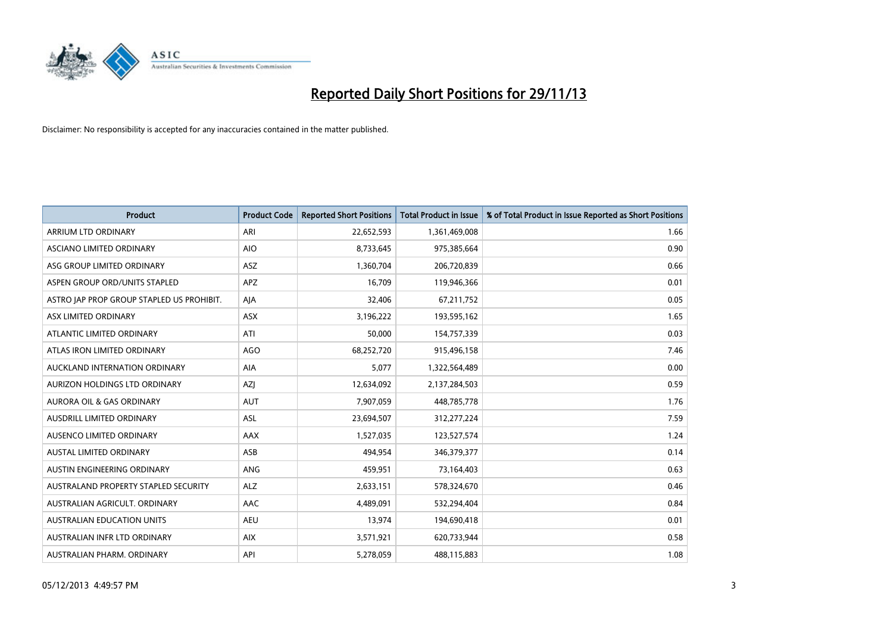

| Product                                   | <b>Product Code</b> | <b>Reported Short Positions</b> | <b>Total Product in Issue</b> | % of Total Product in Issue Reported as Short Positions |
|-------------------------------------------|---------------------|---------------------------------|-------------------------------|---------------------------------------------------------|
| ARRIUM LTD ORDINARY                       | ARI                 | 22,652,593                      | 1,361,469,008                 | 1.66                                                    |
| ASCIANO LIMITED ORDINARY                  | <b>AIO</b>          | 8,733,645                       | 975,385,664                   | 0.90                                                    |
| ASG GROUP LIMITED ORDINARY                | <b>ASZ</b>          | 1,360,704                       | 206,720,839                   | 0.66                                                    |
| ASPEN GROUP ORD/UNITS STAPLED             | APZ                 | 16,709                          | 119,946,366                   | 0.01                                                    |
| ASTRO JAP PROP GROUP STAPLED US PROHIBIT. | AJA                 | 32,406                          | 67,211,752                    | 0.05                                                    |
| ASX LIMITED ORDINARY                      | ASX                 | 3,196,222                       | 193,595,162                   | 1.65                                                    |
| ATLANTIC LIMITED ORDINARY                 | ATI                 | 50,000                          | 154,757,339                   | 0.03                                                    |
| ATLAS IRON LIMITED ORDINARY               | <b>AGO</b>          | 68,252,720                      | 915,496,158                   | 7.46                                                    |
| AUCKLAND INTERNATION ORDINARY             | AIA                 | 5,077                           | 1,322,564,489                 | 0.00                                                    |
| <b>AURIZON HOLDINGS LTD ORDINARY</b>      | <b>AZI</b>          | 12,634,092                      | 2,137,284,503                 | 0.59                                                    |
| AURORA OIL & GAS ORDINARY                 | <b>AUT</b>          | 7,907,059                       | 448,785,778                   | 1.76                                                    |
| <b>AUSDRILL LIMITED ORDINARY</b>          | ASL                 | 23,694,507                      | 312,277,224                   | 7.59                                                    |
| AUSENCO LIMITED ORDINARY                  | AAX                 | 1,527,035                       | 123,527,574                   | 1.24                                                    |
| <b>AUSTAL LIMITED ORDINARY</b>            | ASB                 | 494,954                         | 346,379,377                   | 0.14                                                    |
| AUSTIN ENGINEERING ORDINARY               | ANG                 | 459,951                         | 73,164,403                    | 0.63                                                    |
| AUSTRALAND PROPERTY STAPLED SECURITY      | <b>ALZ</b>          | 2,633,151                       | 578,324,670                   | 0.46                                                    |
| AUSTRALIAN AGRICULT. ORDINARY             | AAC                 | 4,489,091                       | 532,294,404                   | 0.84                                                    |
| AUSTRALIAN EDUCATION UNITS                | <b>AEU</b>          | 13,974                          | 194,690,418                   | 0.01                                                    |
| AUSTRALIAN INFR LTD ORDINARY              | <b>AIX</b>          | 3,571,921                       | 620,733,944                   | 0.58                                                    |
| AUSTRALIAN PHARM. ORDINARY                | API                 | 5,278,059                       | 488,115,883                   | 1.08                                                    |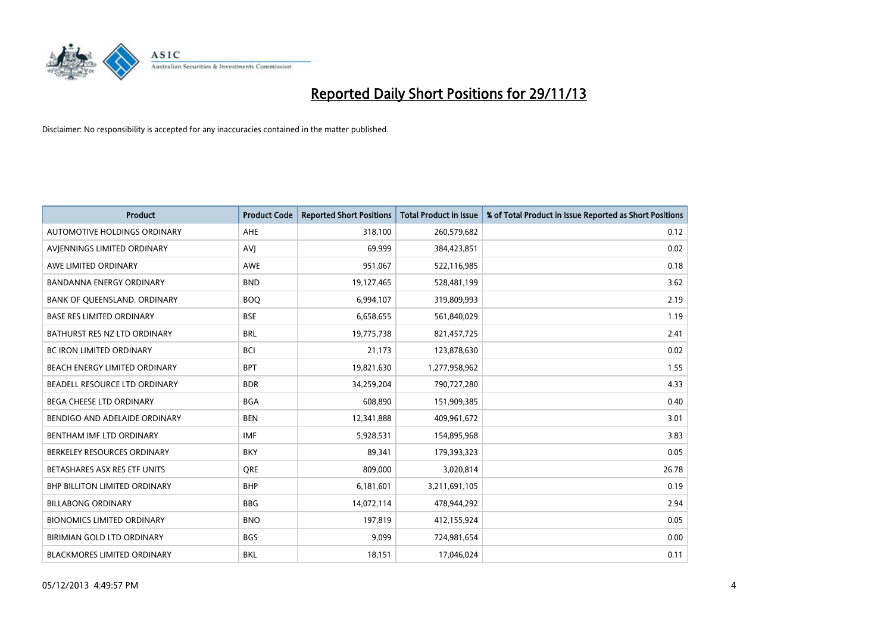

| <b>Product</b>                       | <b>Product Code</b> | <b>Reported Short Positions</b> | <b>Total Product in Issue</b> | % of Total Product in Issue Reported as Short Positions |
|--------------------------------------|---------------------|---------------------------------|-------------------------------|---------------------------------------------------------|
| AUTOMOTIVE HOLDINGS ORDINARY         | AHE                 | 318,100                         | 260,579,682                   | 0.12                                                    |
| AVJENNINGS LIMITED ORDINARY          | <b>AVJ</b>          | 69,999                          | 384,423,851                   | 0.02                                                    |
| AWE LIMITED ORDINARY                 | <b>AWE</b>          | 951,067                         | 522,116,985                   | 0.18                                                    |
| BANDANNA ENERGY ORDINARY             | <b>BND</b>          | 19,127,465                      | 528,481,199                   | 3.62                                                    |
| BANK OF QUEENSLAND. ORDINARY         | <b>BOQ</b>          | 6,994,107                       | 319,809,993                   | 2.19                                                    |
| <b>BASE RES LIMITED ORDINARY</b>     | <b>BSE</b>          | 6,658,655                       | 561,840,029                   | 1.19                                                    |
| BATHURST RES NZ LTD ORDINARY         | <b>BRL</b>          | 19,775,738                      | 821,457,725                   | 2.41                                                    |
| BC IRON LIMITED ORDINARY             | <b>BCI</b>          | 21,173                          | 123,878,630                   | 0.02                                                    |
| BEACH ENERGY LIMITED ORDINARY        | <b>BPT</b>          | 19,821,630                      | 1,277,958,962                 | 1.55                                                    |
| BEADELL RESOURCE LTD ORDINARY        | <b>BDR</b>          | 34,259,204                      | 790,727,280                   | 4.33                                                    |
| BEGA CHEESE LTD ORDINARY             | <b>BGA</b>          | 608,890                         | 151,909,385                   | 0.40                                                    |
| BENDIGO AND ADELAIDE ORDINARY        | <b>BEN</b>          | 12,341,888                      | 409,961,672                   | 3.01                                                    |
| BENTHAM IMF LTD ORDINARY             | <b>IMF</b>          | 5,928,531                       | 154,895,968                   | 3.83                                                    |
| BERKELEY RESOURCES ORDINARY          | <b>BKY</b>          | 89,341                          | 179,393,323                   | 0.05                                                    |
| BETASHARES ASX RES ETF UNITS         | <b>ORE</b>          | 809,000                         | 3,020,814                     | 26.78                                                   |
| <b>BHP BILLITON LIMITED ORDINARY</b> | <b>BHP</b>          | 6,181,601                       | 3,211,691,105                 | 0.19                                                    |
| <b>BILLABONG ORDINARY</b>            | <b>BBG</b>          | 14,072,114                      | 478,944,292                   | 2.94                                                    |
| <b>BIONOMICS LIMITED ORDINARY</b>    | <b>BNO</b>          | 197,819                         | 412,155,924                   | 0.05                                                    |
| BIRIMIAN GOLD LTD ORDINARY           | <b>BGS</b>          | 9,099                           | 724,981,654                   | 0.00                                                    |
| BLACKMORES LIMITED ORDINARY          | <b>BKL</b>          | 18,151                          | 17,046,024                    | 0.11                                                    |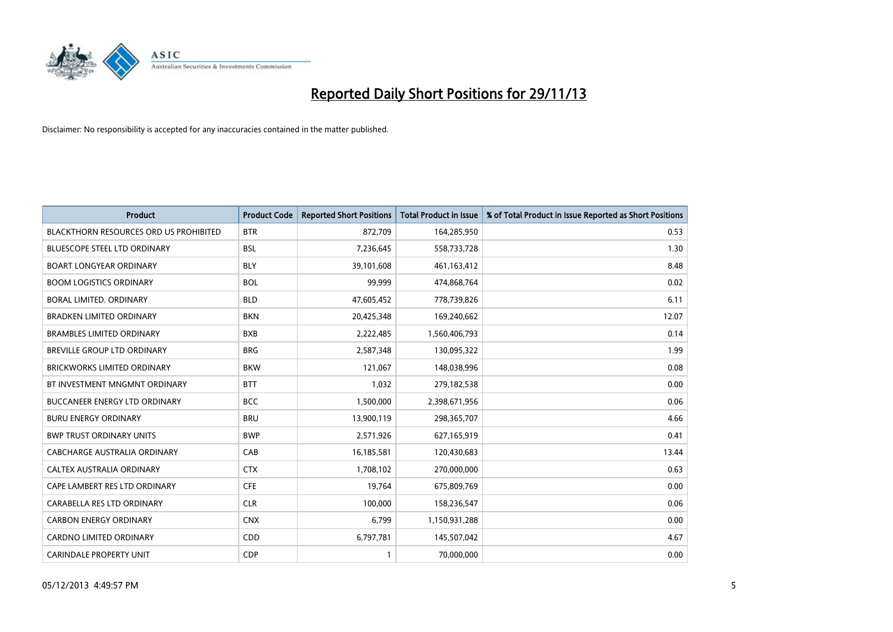

| <b>Product</b>                                | <b>Product Code</b> | <b>Reported Short Positions</b> | <b>Total Product in Issue</b> | % of Total Product in Issue Reported as Short Positions |
|-----------------------------------------------|---------------------|---------------------------------|-------------------------------|---------------------------------------------------------|
| <b>BLACKTHORN RESOURCES ORD US PROHIBITED</b> | <b>BTR</b>          | 872,709                         | 164,285,950                   | 0.53                                                    |
| BLUESCOPE STEEL LTD ORDINARY                  | <b>BSL</b>          | 7,236,645                       | 558,733,728                   | 1.30                                                    |
| <b>BOART LONGYEAR ORDINARY</b>                | <b>BLY</b>          | 39,101,608                      | 461,163,412                   | 8.48                                                    |
| <b>BOOM LOGISTICS ORDINARY</b>                | <b>BOL</b>          | 99,999                          | 474,868,764                   | 0.02                                                    |
| <b>BORAL LIMITED, ORDINARY</b>                | <b>BLD</b>          | 47,605,452                      | 778,739,826                   | 6.11                                                    |
| <b>BRADKEN LIMITED ORDINARY</b>               | <b>BKN</b>          | 20,425,348                      | 169,240,662                   | 12.07                                                   |
| <b>BRAMBLES LIMITED ORDINARY</b>              | <b>BXB</b>          | 2,222,485                       | 1,560,406,793                 | 0.14                                                    |
| BREVILLE GROUP LTD ORDINARY                   | <b>BRG</b>          | 2,587,348                       | 130,095,322                   | 1.99                                                    |
| <b>BRICKWORKS LIMITED ORDINARY</b>            | <b>BKW</b>          | 121,067                         | 148,038,996                   | 0.08                                                    |
| BT INVESTMENT MNGMNT ORDINARY                 | <b>BTT</b>          | 1,032                           | 279,182,538                   | 0.00                                                    |
| <b>BUCCANEER ENERGY LTD ORDINARY</b>          | <b>BCC</b>          | 1,500,000                       | 2,398,671,956                 | 0.06                                                    |
| <b>BURU ENERGY ORDINARY</b>                   | <b>BRU</b>          | 13,900,119                      | 298,365,707                   | 4.66                                                    |
| <b>BWP TRUST ORDINARY UNITS</b>               | <b>BWP</b>          | 2,571,926                       | 627,165,919                   | 0.41                                                    |
| <b>CABCHARGE AUSTRALIA ORDINARY</b>           | CAB                 | 16,185,581                      | 120,430,683                   | 13.44                                                   |
| CALTEX AUSTRALIA ORDINARY                     | <b>CTX</b>          | 1,708,102                       | 270,000,000                   | 0.63                                                    |
| CAPE LAMBERT RES LTD ORDINARY                 | <b>CFE</b>          | 19,764                          | 675,809,769                   | 0.00                                                    |
| CARABELLA RES LTD ORDINARY                    | <b>CLR</b>          | 100,000                         | 158,236,547                   | 0.06                                                    |
| <b>CARBON ENERGY ORDINARY</b>                 | <b>CNX</b>          | 6,799                           | 1,150,931,288                 | 0.00                                                    |
| <b>CARDNO LIMITED ORDINARY</b>                | CDD                 | 6,797,781                       | 145,507,042                   | 4.67                                                    |
| <b>CARINDALE PROPERTY UNIT</b>                | <b>CDP</b>          | 1                               | 70,000,000                    | 0.00                                                    |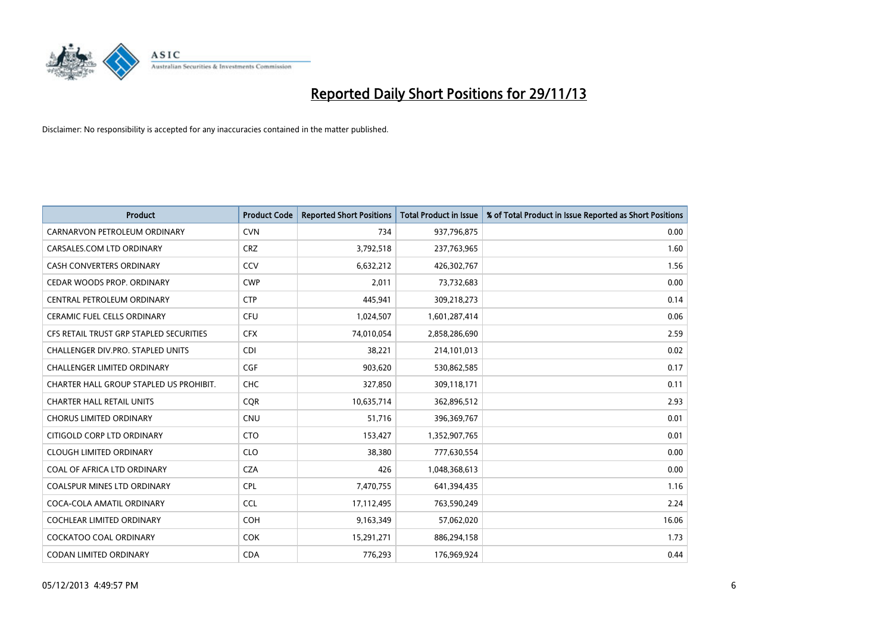

| <b>Product</b>                          | <b>Product Code</b> | <b>Reported Short Positions</b> | <b>Total Product in Issue</b> | % of Total Product in Issue Reported as Short Positions |
|-----------------------------------------|---------------------|---------------------------------|-------------------------------|---------------------------------------------------------|
| CARNARVON PETROLEUM ORDINARY            | <b>CVN</b>          | 734                             | 937,796,875                   | 0.00                                                    |
| CARSALES.COM LTD ORDINARY               | <b>CRZ</b>          | 3,792,518                       | 237,763,965                   | 1.60                                                    |
| CASH CONVERTERS ORDINARY                | <b>CCV</b>          | 6,632,212                       | 426,302,767                   | 1.56                                                    |
| CEDAR WOODS PROP. ORDINARY              | <b>CWP</b>          | 2,011                           | 73,732,683                    | 0.00                                                    |
| CENTRAL PETROLEUM ORDINARY              | <b>CTP</b>          | 445,941                         | 309,218,273                   | 0.14                                                    |
| <b>CERAMIC FUEL CELLS ORDINARY</b>      | <b>CFU</b>          | 1,024,507                       | 1,601,287,414                 | 0.06                                                    |
| CFS RETAIL TRUST GRP STAPLED SECURITIES | <b>CFX</b>          | 74,010,054                      | 2,858,286,690                 | 2.59                                                    |
| CHALLENGER DIV.PRO. STAPLED UNITS       | <b>CDI</b>          | 38,221                          | 214,101,013                   | 0.02                                                    |
| <b>CHALLENGER LIMITED ORDINARY</b>      | <b>CGF</b>          | 903,620                         | 530,862,585                   | 0.17                                                    |
| CHARTER HALL GROUP STAPLED US PROHIBIT. | <b>CHC</b>          | 327,850                         | 309,118,171                   | 0.11                                                    |
| <b>CHARTER HALL RETAIL UNITS</b>        | <b>CQR</b>          | 10,635,714                      | 362,896,512                   | 2.93                                                    |
| <b>CHORUS LIMITED ORDINARY</b>          | <b>CNU</b>          | 51,716                          | 396,369,767                   | 0.01                                                    |
| CITIGOLD CORP LTD ORDINARY              | <b>CTO</b>          | 153,427                         | 1,352,907,765                 | 0.01                                                    |
| <b>CLOUGH LIMITED ORDINARY</b>          | <b>CLO</b>          | 38,380                          | 777,630,554                   | 0.00                                                    |
| COAL OF AFRICA LTD ORDINARY             | <b>CZA</b>          | 426                             | 1,048,368,613                 | 0.00                                                    |
| COALSPUR MINES LTD ORDINARY             | <b>CPL</b>          | 7,470,755                       | 641,394,435                   | 1.16                                                    |
| COCA-COLA AMATIL ORDINARY               | <b>CCL</b>          | 17,112,495                      | 763,590,249                   | 2.24                                                    |
| COCHLEAR LIMITED ORDINARY               | <b>COH</b>          | 9,163,349                       | 57,062,020                    | 16.06                                                   |
| <b>COCKATOO COAL ORDINARY</b>           | <b>COK</b>          | 15,291,271                      | 886,294,158                   | 1.73                                                    |
| CODAN LIMITED ORDINARY                  | <b>CDA</b>          | 776,293                         | 176,969,924                   | 0.44                                                    |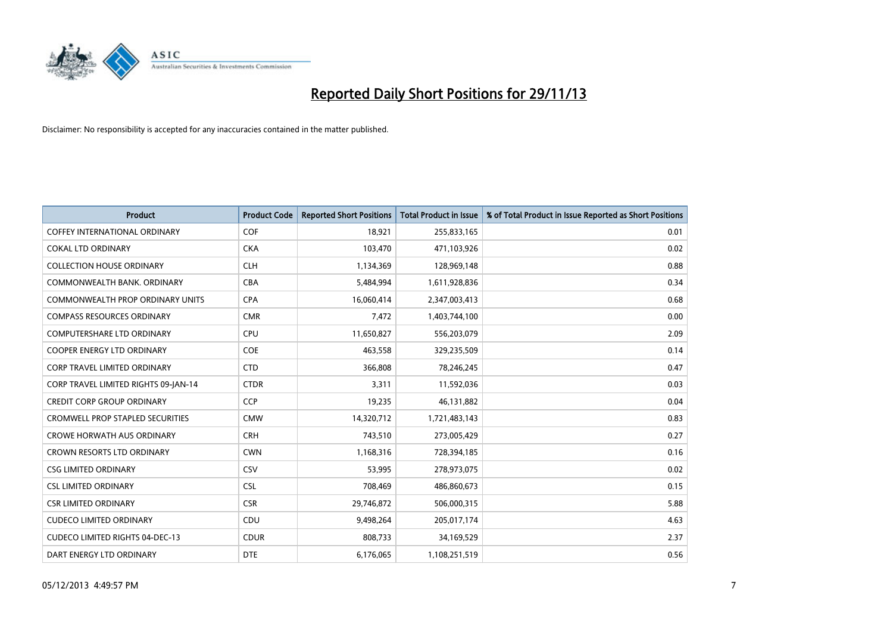

| Product                                 | <b>Product Code</b> | <b>Reported Short Positions</b> | <b>Total Product in Issue</b> | % of Total Product in Issue Reported as Short Positions |
|-----------------------------------------|---------------------|---------------------------------|-------------------------------|---------------------------------------------------------|
| COFFEY INTERNATIONAL ORDINARY           | <b>COF</b>          | 18,921                          | 255,833,165                   | 0.01                                                    |
| <b>COKAL LTD ORDINARY</b>               | <b>CKA</b>          | 103,470                         | 471,103,926                   | 0.02                                                    |
| <b>COLLECTION HOUSE ORDINARY</b>        | <b>CLH</b>          | 1,134,369                       | 128,969,148                   | 0.88                                                    |
| COMMONWEALTH BANK, ORDINARY             | <b>CBA</b>          | 5,484,994                       | 1,611,928,836                 | 0.34                                                    |
| <b>COMMONWEALTH PROP ORDINARY UNITS</b> | <b>CPA</b>          | 16,060,414                      | 2,347,003,413                 | 0.68                                                    |
| <b>COMPASS RESOURCES ORDINARY</b>       | <b>CMR</b>          | 7,472                           | 1,403,744,100                 | 0.00                                                    |
| <b>COMPUTERSHARE LTD ORDINARY</b>       | <b>CPU</b>          | 11,650,827                      | 556,203,079                   | 2.09                                                    |
| <b>COOPER ENERGY LTD ORDINARY</b>       | <b>COE</b>          | 463,558                         | 329,235,509                   | 0.14                                                    |
| CORP TRAVEL LIMITED ORDINARY            | <b>CTD</b>          | 366,808                         | 78,246,245                    | 0.47                                                    |
| CORP TRAVEL LIMITED RIGHTS 09-JAN-14    | <b>CTDR</b>         | 3,311                           | 11,592,036                    | 0.03                                                    |
| <b>CREDIT CORP GROUP ORDINARY</b>       | <b>CCP</b>          | 19,235                          | 46,131,882                    | 0.04                                                    |
| <b>CROMWELL PROP STAPLED SECURITIES</b> | <b>CMW</b>          | 14,320,712                      | 1,721,483,143                 | 0.83                                                    |
| <b>CROWE HORWATH AUS ORDINARY</b>       | <b>CRH</b>          | 743,510                         | 273,005,429                   | 0.27                                                    |
| <b>CROWN RESORTS LTD ORDINARY</b>       | <b>CWN</b>          | 1,168,316                       | 728,394,185                   | 0.16                                                    |
| <b>CSG LIMITED ORDINARY</b>             | CSV                 | 53,995                          | 278,973,075                   | 0.02                                                    |
| <b>CSL LIMITED ORDINARY</b>             | <b>CSL</b>          | 708,469                         | 486,860,673                   | 0.15                                                    |
| <b>CSR LIMITED ORDINARY</b>             | <b>CSR</b>          | 29,746,872                      | 506,000,315                   | 5.88                                                    |
| <b>CUDECO LIMITED ORDINARY</b>          | <b>CDU</b>          | 9,498,264                       | 205,017,174                   | 4.63                                                    |
| <b>CUDECO LIMITED RIGHTS 04-DEC-13</b>  | <b>CDUR</b>         | 808,733                         | 34,169,529                    | 2.37                                                    |
| DART ENERGY LTD ORDINARY                | <b>DTE</b>          | 6,176,065                       | 1,108,251,519                 | 0.56                                                    |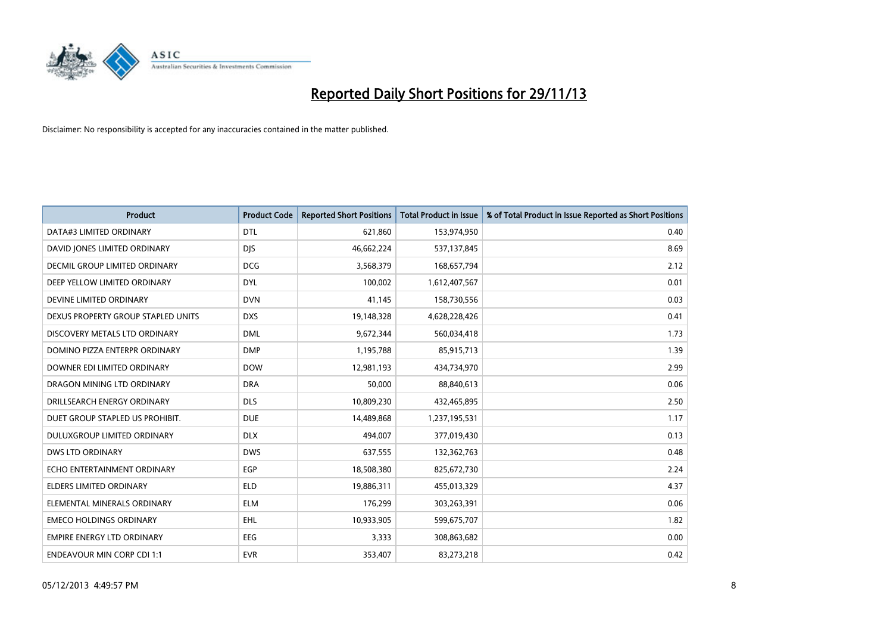

| <b>Product</b>                     | <b>Product Code</b> | <b>Reported Short Positions</b> | <b>Total Product in Issue</b> | % of Total Product in Issue Reported as Short Positions |
|------------------------------------|---------------------|---------------------------------|-------------------------------|---------------------------------------------------------|
| DATA#3 LIMITED ORDINARY            | <b>DTL</b>          | 621,860                         | 153,974,950                   | 0.40                                                    |
| DAVID JONES LIMITED ORDINARY       | <b>DJS</b>          | 46,662,224                      | 537,137,845                   | 8.69                                                    |
| DECMIL GROUP LIMITED ORDINARY      | <b>DCG</b>          | 3,568,379                       | 168,657,794                   | 2.12                                                    |
| DEEP YELLOW LIMITED ORDINARY       | <b>DYL</b>          | 100,002                         | 1,612,407,567                 | 0.01                                                    |
| DEVINE LIMITED ORDINARY            | <b>DVN</b>          | 41,145                          | 158,730,556                   | 0.03                                                    |
| DEXUS PROPERTY GROUP STAPLED UNITS | <b>DXS</b>          | 19,148,328                      | 4,628,228,426                 | 0.41                                                    |
| DISCOVERY METALS LTD ORDINARY      | <b>DML</b>          | 9,672,344                       | 560,034,418                   | 1.73                                                    |
| DOMINO PIZZA ENTERPR ORDINARY      | <b>DMP</b>          | 1,195,788                       | 85,915,713                    | 1.39                                                    |
| DOWNER EDI LIMITED ORDINARY        | <b>DOW</b>          | 12,981,193                      | 434,734,970                   | 2.99                                                    |
| DRAGON MINING LTD ORDINARY         | <b>DRA</b>          | 50,000                          | 88,840,613                    | 0.06                                                    |
| DRILLSEARCH ENERGY ORDINARY        | <b>DLS</b>          | 10,809,230                      | 432,465,895                   | 2.50                                                    |
| DUET GROUP STAPLED US PROHIBIT.    | <b>DUE</b>          | 14,489,868                      | 1,237,195,531                 | 1.17                                                    |
| DULUXGROUP LIMITED ORDINARY        | <b>DLX</b>          | 494,007                         | 377,019,430                   | 0.13                                                    |
| <b>DWS LTD ORDINARY</b>            | <b>DWS</b>          | 637,555                         | 132,362,763                   | 0.48                                                    |
| ECHO ENTERTAINMENT ORDINARY        | <b>EGP</b>          | 18,508,380                      | 825,672,730                   | 2.24                                                    |
| ELDERS LIMITED ORDINARY            | <b>ELD</b>          | 19,886,311                      | 455,013,329                   | 4.37                                                    |
| ELEMENTAL MINERALS ORDINARY        | <b>ELM</b>          | 176,299                         | 303,263,391                   | 0.06                                                    |
| <b>EMECO HOLDINGS ORDINARY</b>     | <b>EHL</b>          | 10,933,905                      | 599,675,707                   | 1.82                                                    |
| <b>EMPIRE ENERGY LTD ORDINARY</b>  | <b>EEG</b>          | 3,333                           | 308,863,682                   | 0.00                                                    |
| <b>ENDEAVOUR MIN CORP CDI 1:1</b>  | <b>EVR</b>          | 353,407                         | 83,273,218                    | 0.42                                                    |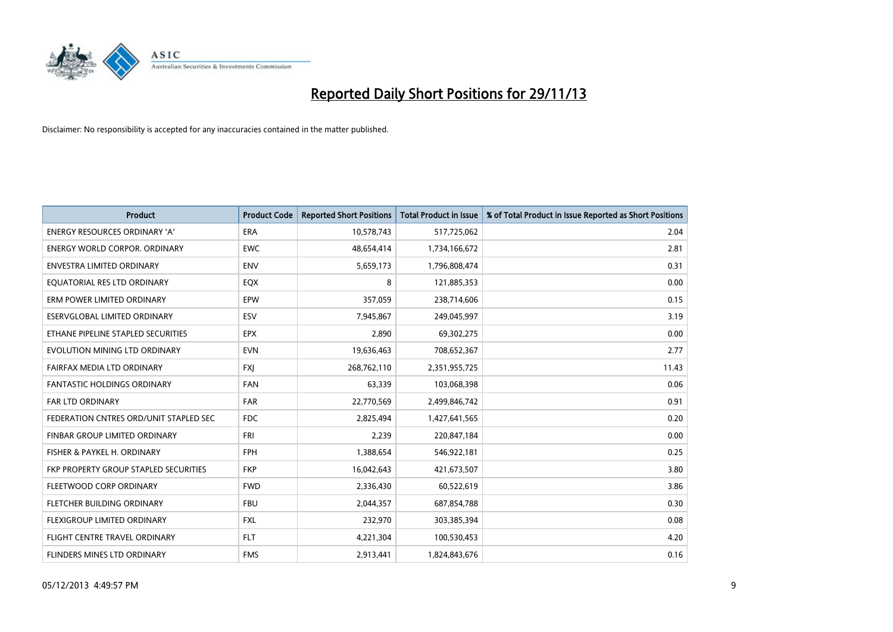

| <b>Product</b>                         | <b>Product Code</b> | <b>Reported Short Positions</b> | <b>Total Product in Issue</b> | % of Total Product in Issue Reported as Short Positions |
|----------------------------------------|---------------------|---------------------------------|-------------------------------|---------------------------------------------------------|
| <b>ENERGY RESOURCES ORDINARY 'A'</b>   | <b>ERA</b>          | 10,578,743                      | 517,725,062                   | 2.04                                                    |
| <b>ENERGY WORLD CORPOR, ORDINARY</b>   | <b>EWC</b>          | 48,654,414                      | 1,734,166,672                 | 2.81                                                    |
| <b>ENVESTRA LIMITED ORDINARY</b>       | <b>ENV</b>          | 5,659,173                       | 1,796,808,474                 | 0.31                                                    |
| EOUATORIAL RES LTD ORDINARY            | EQX                 | 8                               | 121,885,353                   | 0.00                                                    |
| ERM POWER LIMITED ORDINARY             | EPW                 | 357,059                         | 238,714,606                   | 0.15                                                    |
| ESERVGLOBAL LIMITED ORDINARY           | ESV                 | 7,945,867                       | 249,045,997                   | 3.19                                                    |
| ETHANE PIPELINE STAPLED SECURITIES     | <b>EPX</b>          | 2,890                           | 69,302,275                    | 0.00                                                    |
| EVOLUTION MINING LTD ORDINARY          | <b>EVN</b>          | 19,636,463                      | 708,652,367                   | 2.77                                                    |
| FAIRFAX MEDIA LTD ORDINARY             | <b>FXI</b>          | 268,762,110                     | 2,351,955,725                 | 11.43                                                   |
| <b>FANTASTIC HOLDINGS ORDINARY</b>     | <b>FAN</b>          | 63,339                          | 103,068,398                   | 0.06                                                    |
| FAR LTD ORDINARY                       | <b>FAR</b>          | 22,770,569                      | 2,499,846,742                 | 0.91                                                    |
| FEDERATION CNTRES ORD/UNIT STAPLED SEC | FDC                 | 2,825,494                       | 1,427,641,565                 | 0.20                                                    |
| FINBAR GROUP LIMITED ORDINARY          | <b>FRI</b>          | 2,239                           | 220,847,184                   | 0.00                                                    |
| FISHER & PAYKEL H. ORDINARY            | <b>FPH</b>          | 1,388,654                       | 546,922,181                   | 0.25                                                    |
| FKP PROPERTY GROUP STAPLED SECURITIES  | <b>FKP</b>          | 16,042,643                      | 421,673,507                   | 3.80                                                    |
| FLEETWOOD CORP ORDINARY                | <b>FWD</b>          | 2,336,430                       | 60,522,619                    | 3.86                                                    |
| FLETCHER BUILDING ORDINARY             | <b>FBU</b>          | 2,044,357                       | 687,854,788                   | 0.30                                                    |
| FLEXIGROUP LIMITED ORDINARY            | <b>FXL</b>          | 232,970                         | 303,385,394                   | 0.08                                                    |
| FLIGHT CENTRE TRAVEL ORDINARY          | <b>FLT</b>          | 4,221,304                       | 100,530,453                   | 4.20                                                    |
| FLINDERS MINES LTD ORDINARY            | <b>FMS</b>          | 2,913,441                       | 1,824,843,676                 | 0.16                                                    |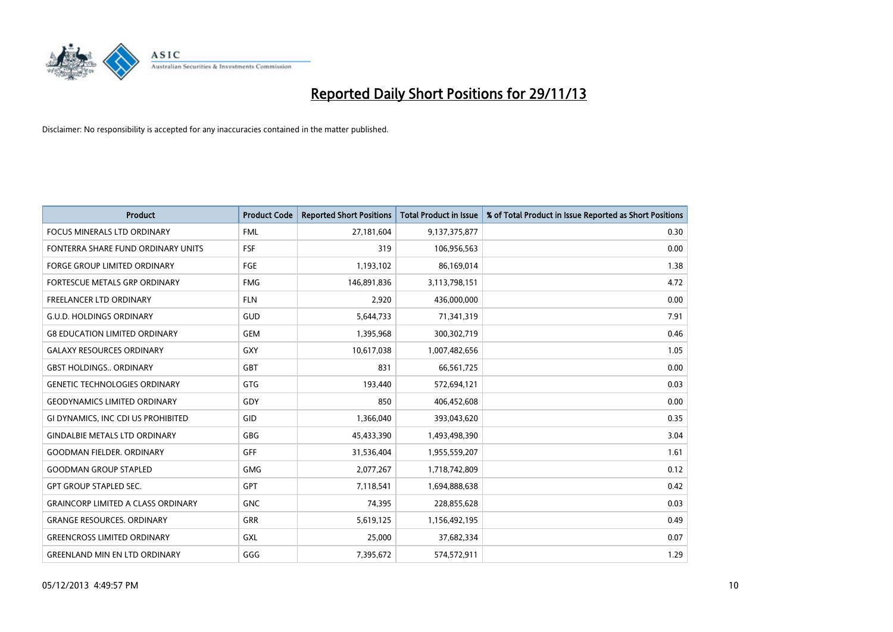

| <b>Product</b>                            | <b>Product Code</b> | <b>Reported Short Positions</b> | <b>Total Product in Issue</b> | % of Total Product in Issue Reported as Short Positions |
|-------------------------------------------|---------------------|---------------------------------|-------------------------------|---------------------------------------------------------|
| <b>FOCUS MINERALS LTD ORDINARY</b>        | <b>FML</b>          | 27,181,604                      | 9,137,375,877                 | 0.30                                                    |
| FONTERRA SHARE FUND ORDINARY UNITS        | <b>FSF</b>          | 319                             | 106,956,563                   | 0.00                                                    |
| <b>FORGE GROUP LIMITED ORDINARY</b>       | <b>FGE</b>          | 1,193,102                       | 86,169,014                    | 1.38                                                    |
| FORTESCUE METALS GRP ORDINARY             | <b>FMG</b>          | 146,891,836                     | 3,113,798,151                 | 4.72                                                    |
| <b>FREELANCER LTD ORDINARY</b>            | <b>FLN</b>          | 2,920                           | 436,000,000                   | 0.00                                                    |
| <b>G.U.D. HOLDINGS ORDINARY</b>           | GUD                 | 5,644,733                       | 71,341,319                    | 7.91                                                    |
| <b>G8 EDUCATION LIMITED ORDINARY</b>      | <b>GEM</b>          | 1,395,968                       | 300,302,719                   | 0.46                                                    |
| <b>GALAXY RESOURCES ORDINARY</b>          | <b>GXY</b>          | 10,617,038                      | 1,007,482,656                 | 1.05                                                    |
| <b>GBST HOLDINGS., ORDINARY</b>           | <b>GBT</b>          | 831                             | 66,561,725                    | 0.00                                                    |
| <b>GENETIC TECHNOLOGIES ORDINARY</b>      | <b>GTG</b>          | 193,440                         | 572,694,121                   | 0.03                                                    |
| <b>GEODYNAMICS LIMITED ORDINARY</b>       | GDY                 | 850                             | 406,452,608                   | 0.00                                                    |
| GI DYNAMICS, INC CDI US PROHIBITED        | GID                 | 1,366,040                       | 393,043,620                   | 0.35                                                    |
| <b>GINDALBIE METALS LTD ORDINARY</b>      | GBG                 | 45,433,390                      | 1,493,498,390                 | 3.04                                                    |
| <b>GOODMAN FIELDER, ORDINARY</b>          | <b>GFF</b>          | 31,536,404                      | 1,955,559,207                 | 1.61                                                    |
| <b>GOODMAN GROUP STAPLED</b>              | <b>GMG</b>          | 2,077,267                       | 1,718,742,809                 | 0.12                                                    |
| <b>GPT GROUP STAPLED SEC.</b>             | GPT                 | 7,118,541                       | 1,694,888,638                 | 0.42                                                    |
| <b>GRAINCORP LIMITED A CLASS ORDINARY</b> | <b>GNC</b>          | 74,395                          | 228,855,628                   | 0.03                                                    |
| <b>GRANGE RESOURCES, ORDINARY</b>         | GRR                 | 5,619,125                       | 1,156,492,195                 | 0.49                                                    |
| <b>GREENCROSS LIMITED ORDINARY</b>        | <b>GXL</b>          | 25,000                          | 37,682,334                    | 0.07                                                    |
| <b>GREENLAND MIN EN LTD ORDINARY</b>      | GGG                 | 7,395,672                       | 574,572,911                   | 1.29                                                    |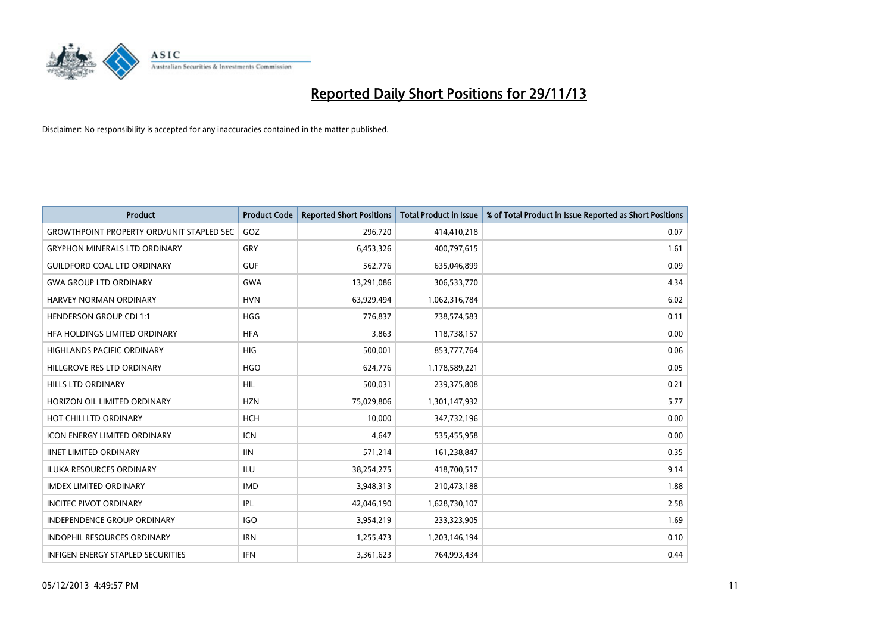

| <b>Product</b>                                   | <b>Product Code</b> | <b>Reported Short Positions</b> | <b>Total Product in Issue</b> | % of Total Product in Issue Reported as Short Positions |
|--------------------------------------------------|---------------------|---------------------------------|-------------------------------|---------------------------------------------------------|
| <b>GROWTHPOINT PROPERTY ORD/UNIT STAPLED SEC</b> | GOZ                 | 296,720                         | 414,410,218                   | 0.07                                                    |
| <b>GRYPHON MINERALS LTD ORDINARY</b>             | GRY                 | 6,453,326                       | 400,797,615                   | 1.61                                                    |
| <b>GUILDFORD COAL LTD ORDINARY</b>               | <b>GUF</b>          | 562,776                         | 635,046,899                   | 0.09                                                    |
| <b>GWA GROUP LTD ORDINARY</b>                    | <b>GWA</b>          | 13,291,086                      | 306,533,770                   | 4.34                                                    |
| HARVEY NORMAN ORDINARY                           | <b>HVN</b>          | 63,929,494                      | 1,062,316,784                 | 6.02                                                    |
| <b>HENDERSON GROUP CDI 1:1</b>                   | <b>HGG</b>          | 776,837                         | 738,574,583                   | 0.11                                                    |
| HFA HOLDINGS LIMITED ORDINARY                    | <b>HFA</b>          | 3,863                           | 118,738,157                   | 0.00                                                    |
| <b>HIGHLANDS PACIFIC ORDINARY</b>                | <b>HIG</b>          | 500,001                         | 853,777,764                   | 0.06                                                    |
| HILLGROVE RES LTD ORDINARY                       | <b>HGO</b>          | 624,776                         | 1,178,589,221                 | 0.05                                                    |
| <b>HILLS LTD ORDINARY</b>                        | <b>HIL</b>          | 500,031                         | 239,375,808                   | 0.21                                                    |
| HORIZON OIL LIMITED ORDINARY                     | <b>HZN</b>          | 75,029,806                      | 1,301,147,932                 | 5.77                                                    |
| HOT CHILI LTD ORDINARY                           | <b>HCH</b>          | 10,000                          | 347,732,196                   | 0.00                                                    |
| <b>ICON ENERGY LIMITED ORDINARY</b>              | <b>ICN</b>          | 4,647                           | 535,455,958                   | 0.00                                                    |
| <b>IINET LIMITED ORDINARY</b>                    | <b>IIN</b>          | 571,214                         | 161,238,847                   | 0.35                                                    |
| <b>ILUKA RESOURCES ORDINARY</b>                  | <b>ILU</b>          | 38,254,275                      | 418,700,517                   | 9.14                                                    |
| <b>IMDEX LIMITED ORDINARY</b>                    | <b>IMD</b>          | 3,948,313                       | 210,473,188                   | 1.88                                                    |
| <b>INCITEC PIVOT ORDINARY</b>                    | IPL                 | 42,046,190                      | 1,628,730,107                 | 2.58                                                    |
| INDEPENDENCE GROUP ORDINARY                      | <b>IGO</b>          | 3,954,219                       | 233,323,905                   | 1.69                                                    |
| <b>INDOPHIL RESOURCES ORDINARY</b>               | <b>IRN</b>          | 1,255,473                       | 1,203,146,194                 | 0.10                                                    |
| INFIGEN ENERGY STAPLED SECURITIES                | <b>IFN</b>          | 3,361,623                       | 764,993,434                   | 0.44                                                    |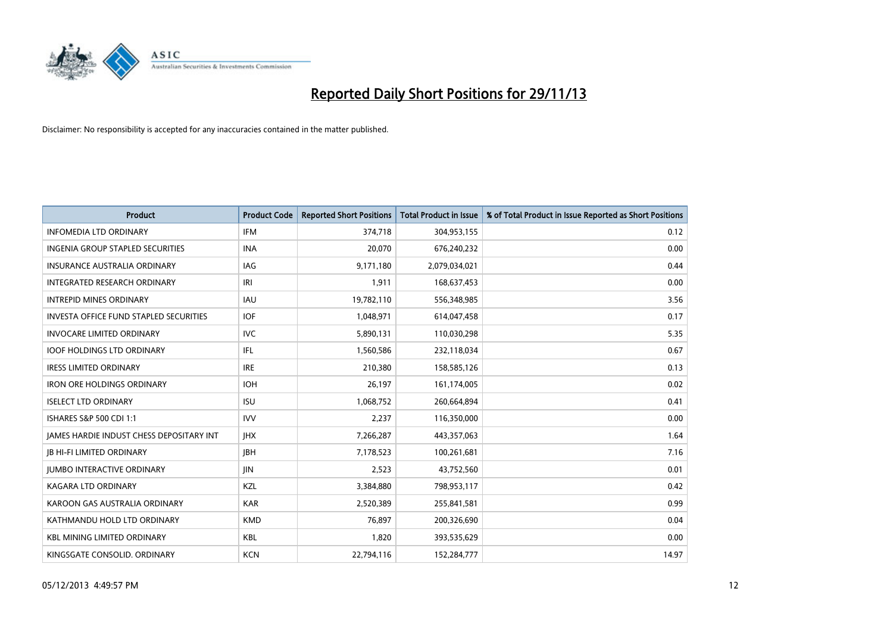

| <b>Product</b>                                | <b>Product Code</b> | <b>Reported Short Positions</b> | <b>Total Product in Issue</b> | % of Total Product in Issue Reported as Short Positions |
|-----------------------------------------------|---------------------|---------------------------------|-------------------------------|---------------------------------------------------------|
| <b>INFOMEDIA LTD ORDINARY</b>                 | <b>IFM</b>          | 374,718                         | 304,953,155                   | 0.12                                                    |
| INGENIA GROUP STAPLED SECURITIES              | <b>INA</b>          | 20,070                          | 676,240,232                   | 0.00                                                    |
| <b>INSURANCE AUSTRALIA ORDINARY</b>           | IAG                 | 9,171,180                       | 2,079,034,021                 | 0.44                                                    |
| INTEGRATED RESEARCH ORDINARY                  | IRI                 | 1,911                           | 168,637,453                   | 0.00                                                    |
| <b>INTREPID MINES ORDINARY</b>                | IAU                 | 19,782,110                      | 556,348,985                   | 3.56                                                    |
| <b>INVESTA OFFICE FUND STAPLED SECURITIES</b> | <b>IOF</b>          | 1,048,971                       | 614,047,458                   | 0.17                                                    |
| <b>INVOCARE LIMITED ORDINARY</b>              | <b>IVC</b>          | 5,890,131                       | 110,030,298                   | 5.35                                                    |
| <b>IOOF HOLDINGS LTD ORDINARY</b>             | IFL                 | 1,560,586                       | 232,118,034                   | 0.67                                                    |
| <b>IRESS LIMITED ORDINARY</b>                 | <b>IRE</b>          | 210,380                         | 158,585,126                   | 0.13                                                    |
| <b>IRON ORE HOLDINGS ORDINARY</b>             | <b>IOH</b>          | 26,197                          | 161,174,005                   | 0.02                                                    |
| <b>ISELECT LTD ORDINARY</b>                   | <b>ISU</b>          | 1,068,752                       | 260,664,894                   | 0.41                                                    |
| ISHARES S&P 500 CDI 1:1                       | <b>IVV</b>          | 2,237                           | 116,350,000                   | 0.00                                                    |
| JAMES HARDIE INDUST CHESS DEPOSITARY INT      | <b>IHX</b>          | 7,266,287                       | 443,357,063                   | 1.64                                                    |
| <b>IB HI-FI LIMITED ORDINARY</b>              | <b>IBH</b>          | 7,178,523                       | 100,261,681                   | 7.16                                                    |
| <b>JUMBO INTERACTIVE ORDINARY</b>             | JIN.                | 2,523                           | 43,752,560                    | 0.01                                                    |
| <b>KAGARA LTD ORDINARY</b>                    | KZL                 | 3,384,880                       | 798,953,117                   | 0.42                                                    |
| KAROON GAS AUSTRALIA ORDINARY                 | <b>KAR</b>          | 2,520,389                       | 255,841,581                   | 0.99                                                    |
| KATHMANDU HOLD LTD ORDINARY                   | <b>KMD</b>          | 76.897                          | 200,326,690                   | 0.04                                                    |
| <b>KBL MINING LIMITED ORDINARY</b>            | <b>KBL</b>          | 1,820                           | 393,535,629                   | 0.00                                                    |
| KINGSGATE CONSOLID. ORDINARY                  | <b>KCN</b>          | 22,794,116                      | 152,284,777                   | 14.97                                                   |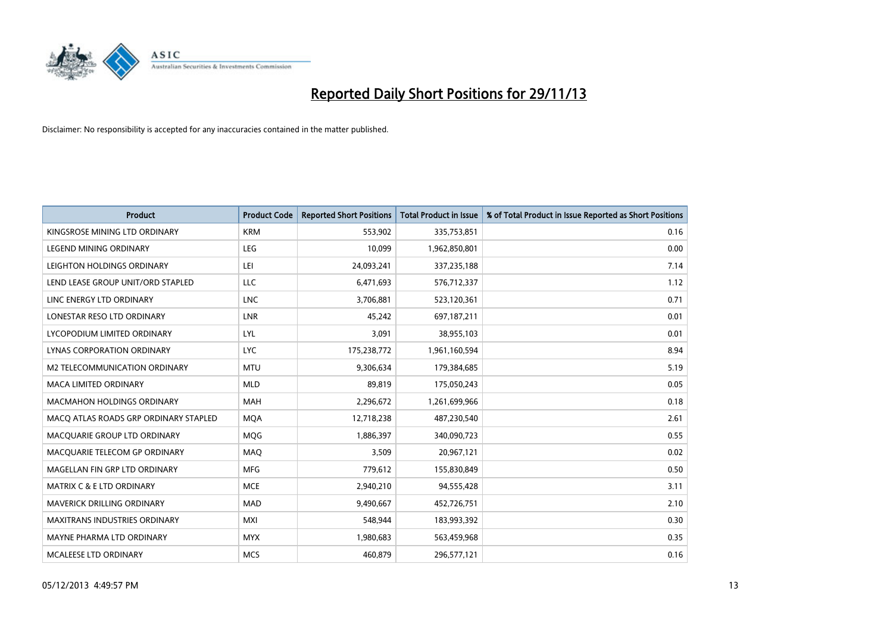

| <b>Product</b>                        | <b>Product Code</b> | <b>Reported Short Positions</b> | <b>Total Product in Issue</b> | % of Total Product in Issue Reported as Short Positions |
|---------------------------------------|---------------------|---------------------------------|-------------------------------|---------------------------------------------------------|
| KINGSROSE MINING LTD ORDINARY         | <b>KRM</b>          | 553,902                         | 335,753,851                   | 0.16                                                    |
| LEGEND MINING ORDINARY                | LEG                 | 10,099                          | 1,962,850,801                 | 0.00                                                    |
| LEIGHTON HOLDINGS ORDINARY            | LEI                 | 24,093,241                      | 337,235,188                   | 7.14                                                    |
| LEND LEASE GROUP UNIT/ORD STAPLED     | LLC                 | 6,471,693                       | 576,712,337                   | 1.12                                                    |
| LINC ENERGY LTD ORDINARY              | <b>LNC</b>          | 3,706,881                       | 523,120,361                   | 0.71                                                    |
| LONESTAR RESO LTD ORDINARY            | <b>LNR</b>          | 45,242                          | 697,187,211                   | 0.01                                                    |
| LYCOPODIUM LIMITED ORDINARY           | <b>LYL</b>          | 3,091                           | 38,955,103                    | 0.01                                                    |
| LYNAS CORPORATION ORDINARY            | <b>LYC</b>          | 175,238,772                     | 1,961,160,594                 | 8.94                                                    |
| <b>M2 TELECOMMUNICATION ORDINARY</b>  | <b>MTU</b>          | 9,306,634                       | 179,384,685                   | 5.19                                                    |
| <b>MACA LIMITED ORDINARY</b>          | <b>MLD</b>          | 89,819                          | 175,050,243                   | 0.05                                                    |
| MACMAHON HOLDINGS ORDINARY            | MAH                 | 2,296,672                       | 1,261,699,966                 | 0.18                                                    |
| MACO ATLAS ROADS GRP ORDINARY STAPLED | <b>MQA</b>          | 12,718,238                      | 487,230,540                   | 2.61                                                    |
| MACQUARIE GROUP LTD ORDINARY          | <b>MOG</b>          | 1,886,397                       | 340,090,723                   | 0.55                                                    |
| MACQUARIE TELECOM GP ORDINARY         | MAQ                 | 3,509                           | 20,967,121                    | 0.02                                                    |
| MAGELLAN FIN GRP LTD ORDINARY         | <b>MFG</b>          | 779,612                         | 155,830,849                   | 0.50                                                    |
| MATRIX C & E LTD ORDINARY             | <b>MCE</b>          | 2,940,210                       | 94,555,428                    | 3.11                                                    |
| MAVERICK DRILLING ORDINARY            | MAD                 | 9,490,667                       | 452,726,751                   | 2.10                                                    |
| MAXITRANS INDUSTRIES ORDINARY         | <b>MXI</b>          | 548,944                         | 183,993,392                   | 0.30                                                    |
| MAYNE PHARMA LTD ORDINARY             | <b>MYX</b>          | 1,980,683                       | 563,459,968                   | 0.35                                                    |
| MCALEESE LTD ORDINARY                 | <b>MCS</b>          | 460,879                         | 296,577,121                   | 0.16                                                    |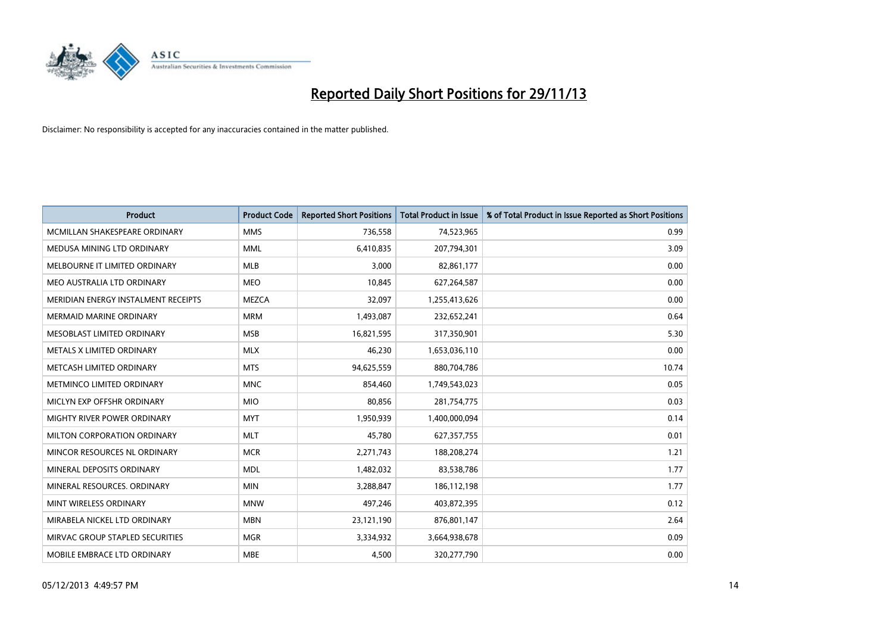

| <b>Product</b>                      | <b>Product Code</b> | <b>Reported Short Positions</b> | <b>Total Product in Issue</b> | % of Total Product in Issue Reported as Short Positions |
|-------------------------------------|---------------------|---------------------------------|-------------------------------|---------------------------------------------------------|
| MCMILLAN SHAKESPEARE ORDINARY       | <b>MMS</b>          | 736,558                         | 74,523,965                    | 0.99                                                    |
| MEDUSA MINING LTD ORDINARY          | <b>MML</b>          | 6,410,835                       | 207,794,301                   | 3.09                                                    |
| MELBOURNE IT LIMITED ORDINARY       | <b>MLB</b>          | 3,000                           | 82,861,177                    | 0.00                                                    |
| MEO AUSTRALIA LTD ORDINARY          | <b>MEO</b>          | 10,845                          | 627,264,587                   | 0.00                                                    |
| MERIDIAN ENERGY INSTALMENT RECEIPTS | <b>MEZCA</b>        | 32,097                          | 1,255,413,626                 | 0.00                                                    |
| <b>MERMAID MARINE ORDINARY</b>      | <b>MRM</b>          | 1,493,087                       | 232,652,241                   | 0.64                                                    |
| MESOBLAST LIMITED ORDINARY          | <b>MSB</b>          | 16,821,595                      | 317,350,901                   | 5.30                                                    |
| METALS X LIMITED ORDINARY           | <b>MLX</b>          | 46,230                          | 1,653,036,110                 | 0.00                                                    |
| METCASH LIMITED ORDINARY            | <b>MTS</b>          | 94,625,559                      | 880,704,786                   | 10.74                                                   |
| METMINCO LIMITED ORDINARY           | <b>MNC</b>          | 854,460                         | 1,749,543,023                 | 0.05                                                    |
| MICLYN EXP OFFSHR ORDINARY          | <b>MIO</b>          | 80,856                          | 281,754,775                   | 0.03                                                    |
| MIGHTY RIVER POWER ORDINARY         | <b>MYT</b>          | 1,950,939                       | 1,400,000,094                 | 0.14                                                    |
| MILTON CORPORATION ORDINARY         | <b>MLT</b>          | 45,780                          | 627,357,755                   | 0.01                                                    |
| MINCOR RESOURCES NL ORDINARY        | <b>MCR</b>          | 2,271,743                       | 188,208,274                   | 1.21                                                    |
| MINERAL DEPOSITS ORDINARY           | <b>MDL</b>          | 1,482,032                       | 83,538,786                    | 1.77                                                    |
| MINERAL RESOURCES, ORDINARY         | <b>MIN</b>          | 3,288,847                       | 186,112,198                   | 1.77                                                    |
| MINT WIRELESS ORDINARY              | <b>MNW</b>          | 497,246                         | 403,872,395                   | 0.12                                                    |
| MIRABELA NICKEL LTD ORDINARY        | <b>MBN</b>          | 23,121,190                      | 876,801,147                   | 2.64                                                    |
| MIRVAC GROUP STAPLED SECURITIES     | <b>MGR</b>          | 3,334,932                       | 3,664,938,678                 | 0.09                                                    |
| MOBILE EMBRACE LTD ORDINARY         | <b>MBE</b>          | 4,500                           | 320,277,790                   | 0.00                                                    |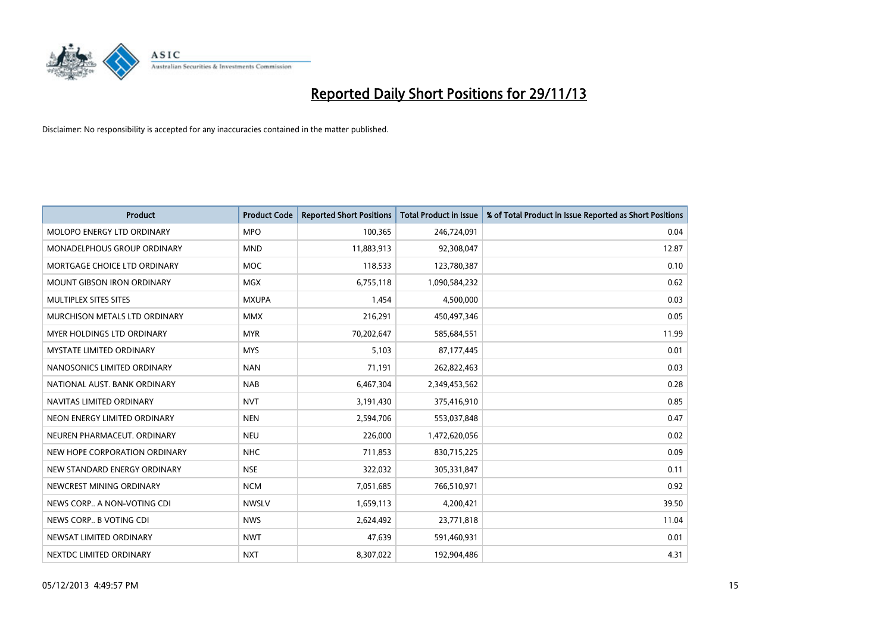

| <b>Product</b>                    | <b>Product Code</b> | <b>Reported Short Positions</b> | <b>Total Product in Issue</b> | % of Total Product in Issue Reported as Short Positions |
|-----------------------------------|---------------------|---------------------------------|-------------------------------|---------------------------------------------------------|
| MOLOPO ENERGY LTD ORDINARY        | <b>MPO</b>          | 100,365                         | 246,724,091                   | 0.04                                                    |
| MONADELPHOUS GROUP ORDINARY       | <b>MND</b>          | 11,883,913                      | 92,308,047                    | 12.87                                                   |
| MORTGAGE CHOICE LTD ORDINARY      | MOC                 | 118,533                         | 123,780,387                   | 0.10                                                    |
| <b>MOUNT GIBSON IRON ORDINARY</b> | <b>MGX</b>          | 6,755,118                       | 1,090,584,232                 | 0.62                                                    |
| MULTIPLEX SITES SITES             | <b>MXUPA</b>        | 1,454                           | 4,500,000                     | 0.03                                                    |
| MURCHISON METALS LTD ORDINARY     | <b>MMX</b>          | 216,291                         | 450,497,346                   | 0.05                                                    |
| MYER HOLDINGS LTD ORDINARY        | <b>MYR</b>          | 70,202,647                      | 585,684,551                   | 11.99                                                   |
| MYSTATE LIMITED ORDINARY          | <b>MYS</b>          | 5,103                           | 87,177,445                    | 0.01                                                    |
| NANOSONICS LIMITED ORDINARY       | <b>NAN</b>          | 71,191                          | 262,822,463                   | 0.03                                                    |
| NATIONAL AUST, BANK ORDINARY      | <b>NAB</b>          | 6,467,304                       | 2,349,453,562                 | 0.28                                                    |
| NAVITAS LIMITED ORDINARY          | <b>NVT</b>          | 3,191,430                       | 375,416,910                   | 0.85                                                    |
| NEON ENERGY LIMITED ORDINARY      | <b>NEN</b>          | 2,594,706                       | 553,037,848                   | 0.47                                                    |
| NEUREN PHARMACEUT, ORDINARY       | <b>NEU</b>          | 226,000                         | 1,472,620,056                 | 0.02                                                    |
| NEW HOPE CORPORATION ORDINARY     | <b>NHC</b>          | 711,853                         | 830,715,225                   | 0.09                                                    |
| NEW STANDARD ENERGY ORDINARY      | <b>NSE</b>          | 322,032                         | 305,331,847                   | 0.11                                                    |
| NEWCREST MINING ORDINARY          | <b>NCM</b>          | 7,051,685                       | 766,510,971                   | 0.92                                                    |
| NEWS CORP A NON-VOTING CDI        | <b>NWSLV</b>        | 1,659,113                       | 4,200,421                     | 39.50                                                   |
| NEWS CORP B VOTING CDI            | <b>NWS</b>          | 2,624,492                       | 23,771,818                    | 11.04                                                   |
| NEWSAT LIMITED ORDINARY           | <b>NWT</b>          | 47,639                          | 591,460,931                   | 0.01                                                    |
| NEXTDC LIMITED ORDINARY           | <b>NXT</b>          | 8,307,022                       | 192,904,486                   | 4.31                                                    |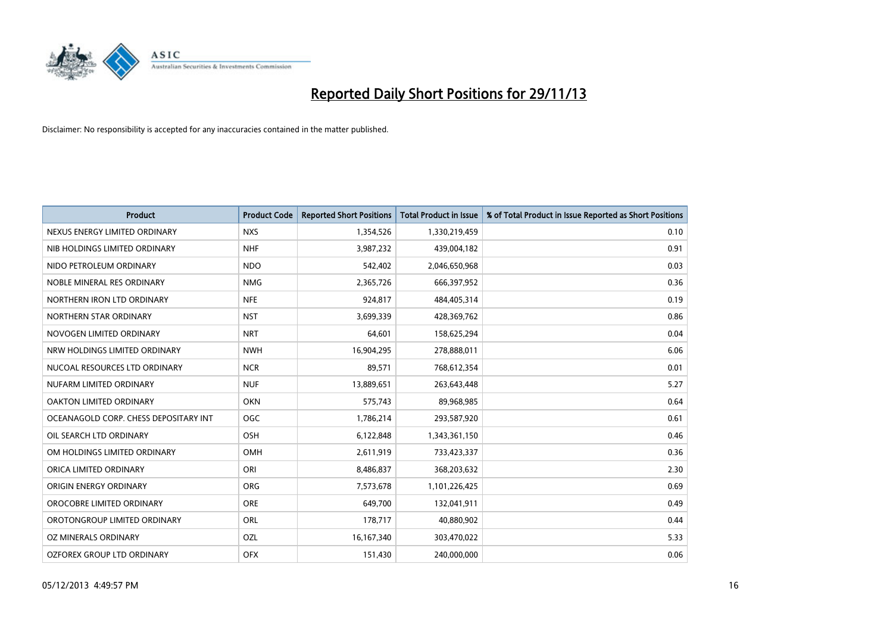

| <b>Product</b>                        | <b>Product Code</b> | <b>Reported Short Positions</b> | <b>Total Product in Issue</b> | % of Total Product in Issue Reported as Short Positions |
|---------------------------------------|---------------------|---------------------------------|-------------------------------|---------------------------------------------------------|
| NEXUS ENERGY LIMITED ORDINARY         | <b>NXS</b>          | 1,354,526                       | 1,330,219,459                 | 0.10                                                    |
| NIB HOLDINGS LIMITED ORDINARY         | <b>NHF</b>          | 3,987,232                       | 439,004,182                   | 0.91                                                    |
| NIDO PETROLEUM ORDINARY               | <b>NDO</b>          | 542,402                         | 2,046,650,968                 | 0.03                                                    |
| NOBLE MINERAL RES ORDINARY            | <b>NMG</b>          | 2,365,726                       | 666,397,952                   | 0.36                                                    |
| NORTHERN IRON LTD ORDINARY            | <b>NFE</b>          | 924,817                         | 484,405,314                   | 0.19                                                    |
| NORTHERN STAR ORDINARY                | <b>NST</b>          | 3,699,339                       | 428,369,762                   | 0.86                                                    |
| NOVOGEN LIMITED ORDINARY              | <b>NRT</b>          | 64,601                          | 158,625,294                   | 0.04                                                    |
| NRW HOLDINGS LIMITED ORDINARY         | <b>NWH</b>          | 16,904,295                      | 278,888,011                   | 6.06                                                    |
| NUCOAL RESOURCES LTD ORDINARY         | <b>NCR</b>          | 89,571                          | 768,612,354                   | 0.01                                                    |
| NUFARM LIMITED ORDINARY               | <b>NUF</b>          | 13,889,651                      | 263,643,448                   | 5.27                                                    |
| OAKTON LIMITED ORDINARY               | <b>OKN</b>          | 575,743                         | 89,968,985                    | 0.64                                                    |
| OCEANAGOLD CORP. CHESS DEPOSITARY INT | OGC                 | 1,786,214                       | 293,587,920                   | 0.61                                                    |
| OIL SEARCH LTD ORDINARY               | <b>OSH</b>          | 6,122,848                       | 1,343,361,150                 | 0.46                                                    |
| OM HOLDINGS LIMITED ORDINARY          | OMH                 | 2,611,919                       | 733,423,337                   | 0.36                                                    |
| ORICA LIMITED ORDINARY                | ORI                 | 8,486,837                       | 368,203,632                   | 2.30                                                    |
| ORIGIN ENERGY ORDINARY                | ORG                 | 7,573,678                       | 1,101,226,425                 | 0.69                                                    |
| OROCOBRE LIMITED ORDINARY             | <b>ORE</b>          | 649,700                         | 132,041,911                   | 0.49                                                    |
| OROTONGROUP LIMITED ORDINARY          | <b>ORL</b>          | 178,717                         | 40,880,902                    | 0.44                                                    |
| <b>OZ MINERALS ORDINARY</b>           | OZL                 | 16, 167, 340                    | 303,470,022                   | 5.33                                                    |
| OZFOREX GROUP LTD ORDINARY            | <b>OFX</b>          | 151,430                         | 240,000,000                   | 0.06                                                    |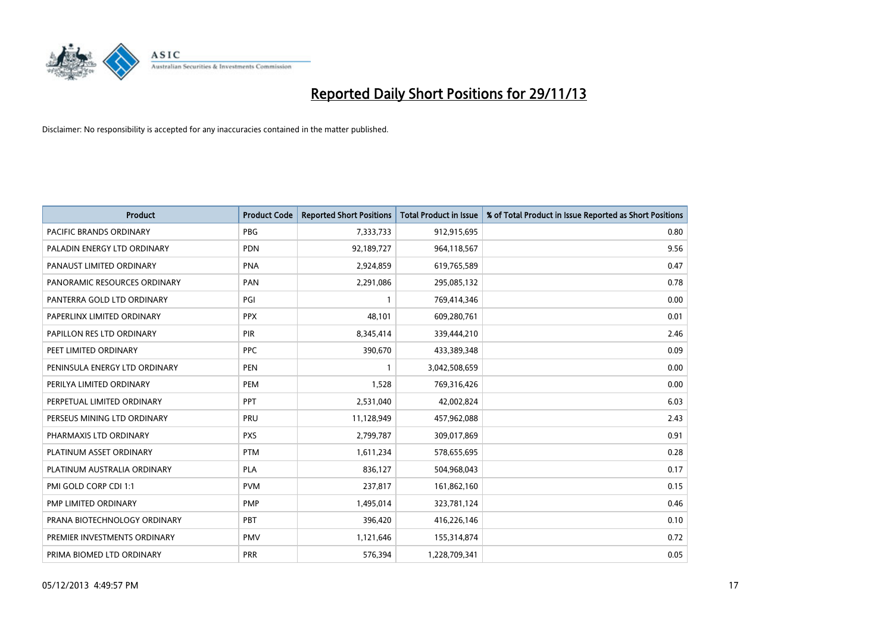

| <b>Product</b>                 | <b>Product Code</b> | <b>Reported Short Positions</b> | <b>Total Product in Issue</b> | % of Total Product in Issue Reported as Short Positions |
|--------------------------------|---------------------|---------------------------------|-------------------------------|---------------------------------------------------------|
| <b>PACIFIC BRANDS ORDINARY</b> | <b>PBG</b>          | 7,333,733                       | 912,915,695                   | 0.80                                                    |
| PALADIN ENERGY LTD ORDINARY    | <b>PDN</b>          | 92,189,727                      | 964,118,567                   | 9.56                                                    |
| PANAUST LIMITED ORDINARY       | <b>PNA</b>          | 2,924,859                       | 619,765,589                   | 0.47                                                    |
| PANORAMIC RESOURCES ORDINARY   | <b>PAN</b>          | 2,291,086                       | 295,085,132                   | 0.78                                                    |
| PANTERRA GOLD LTD ORDINARY     | PGI                 | $\mathbf{1}$                    | 769,414,346                   | 0.00                                                    |
| PAPERLINX LIMITED ORDINARY     | <b>PPX</b>          | 48,101                          | 609,280,761                   | 0.01                                                    |
| PAPILLON RES LTD ORDINARY      | <b>PIR</b>          | 8,345,414                       | 339,444,210                   | 2.46                                                    |
| PEET LIMITED ORDINARY          | <b>PPC</b>          | 390,670                         | 433,389,348                   | 0.09                                                    |
| PENINSULA ENERGY LTD ORDINARY  | <b>PEN</b>          | $\mathbf{1}$                    | 3,042,508,659                 | 0.00                                                    |
| PERILYA LIMITED ORDINARY       | PEM                 | 1,528                           | 769,316,426                   | 0.00                                                    |
| PERPETUAL LIMITED ORDINARY     | PPT                 | 2,531,040                       | 42,002,824                    | 6.03                                                    |
| PERSEUS MINING LTD ORDINARY    | PRU                 | 11,128,949                      | 457,962,088                   | 2.43                                                    |
| PHARMAXIS LTD ORDINARY         | <b>PXS</b>          | 2,799,787                       | 309,017,869                   | 0.91                                                    |
| PLATINUM ASSET ORDINARY        | <b>PTM</b>          | 1,611,234                       | 578,655,695                   | 0.28                                                    |
| PLATINUM AUSTRALIA ORDINARY    | <b>PLA</b>          | 836,127                         | 504,968,043                   | 0.17                                                    |
| PMI GOLD CORP CDI 1:1          | <b>PVM</b>          | 237,817                         | 161,862,160                   | 0.15                                                    |
| PMP LIMITED ORDINARY           | <b>PMP</b>          | 1,495,014                       | 323,781,124                   | 0.46                                                    |
| PRANA BIOTECHNOLOGY ORDINARY   | <b>PBT</b>          | 396,420                         | 416,226,146                   | 0.10                                                    |
| PREMIER INVESTMENTS ORDINARY   | <b>PMV</b>          | 1,121,646                       | 155,314,874                   | 0.72                                                    |
| PRIMA BIOMED LTD ORDINARY      | <b>PRR</b>          | 576,394                         | 1,228,709,341                 | 0.05                                                    |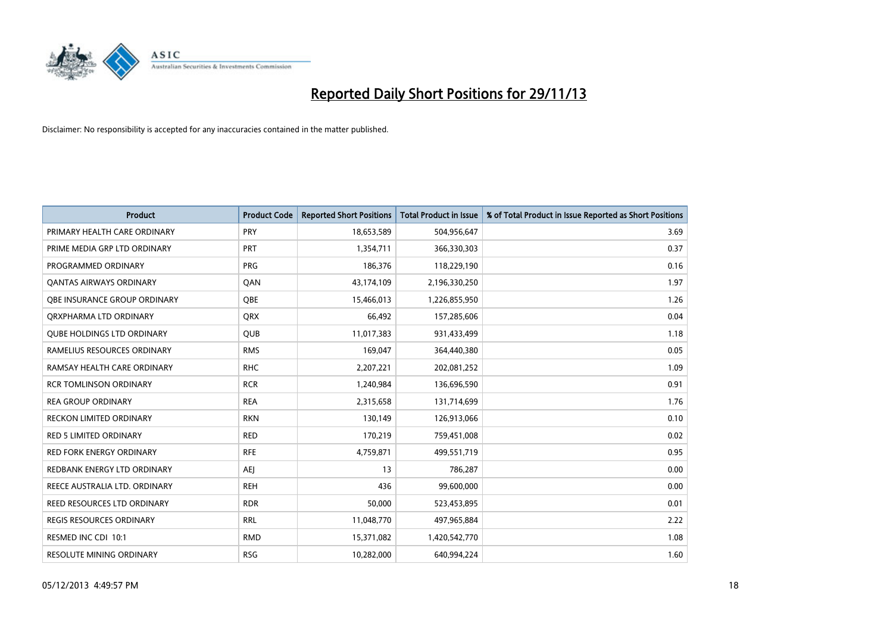

| <b>Product</b>                    | <b>Product Code</b> | <b>Reported Short Positions</b> | <b>Total Product in Issue</b> | % of Total Product in Issue Reported as Short Positions |
|-----------------------------------|---------------------|---------------------------------|-------------------------------|---------------------------------------------------------|
| PRIMARY HEALTH CARE ORDINARY      | <b>PRY</b>          | 18,653,589                      | 504,956,647                   | 3.69                                                    |
| PRIME MEDIA GRP LTD ORDINARY      | PRT                 | 1,354,711                       | 366,330,303                   | 0.37                                                    |
| PROGRAMMED ORDINARY               | <b>PRG</b>          | 186,376                         | 118,229,190                   | 0.16                                                    |
| <b>QANTAS AIRWAYS ORDINARY</b>    | QAN                 | 43,174,109                      | 2,196,330,250                 | 1.97                                                    |
| OBE INSURANCE GROUP ORDINARY      | <b>OBE</b>          | 15,466,013                      | 1,226,855,950                 | 1.26                                                    |
| ORXPHARMA LTD ORDINARY            | <b>QRX</b>          | 66,492                          | 157,285,606                   | 0.04                                                    |
| <b>QUBE HOLDINGS LTD ORDINARY</b> | <b>QUB</b>          | 11,017,383                      | 931,433,499                   | 1.18                                                    |
| RAMELIUS RESOURCES ORDINARY       | <b>RMS</b>          | 169,047                         | 364,440,380                   | 0.05                                                    |
| RAMSAY HEALTH CARE ORDINARY       | <b>RHC</b>          | 2,207,221                       | 202,081,252                   | 1.09                                                    |
| <b>RCR TOMLINSON ORDINARY</b>     | <b>RCR</b>          | 1,240,984                       | 136,696,590                   | 0.91                                                    |
| <b>REA GROUP ORDINARY</b>         | <b>REA</b>          | 2,315,658                       | 131,714,699                   | 1.76                                                    |
| <b>RECKON LIMITED ORDINARY</b>    | <b>RKN</b>          | 130,149                         | 126,913,066                   | 0.10                                                    |
| <b>RED 5 LIMITED ORDINARY</b>     | <b>RED</b>          | 170,219                         | 759,451,008                   | 0.02                                                    |
| <b>RED FORK ENERGY ORDINARY</b>   | <b>RFE</b>          | 4,759,871                       | 499,551,719                   | 0.95                                                    |
| REDBANK ENERGY LTD ORDINARY       | <b>AEJ</b>          | 13                              | 786,287                       | 0.00                                                    |
| REECE AUSTRALIA LTD. ORDINARY     | <b>REH</b>          | 436                             | 99,600,000                    | 0.00                                                    |
| REED RESOURCES LTD ORDINARY       | <b>RDR</b>          | 50,000                          | 523,453,895                   | 0.01                                                    |
| REGIS RESOURCES ORDINARY          | <b>RRL</b>          | 11,048,770                      | 497,965,884                   | 2.22                                                    |
| RESMED INC CDI 10:1               | <b>RMD</b>          | 15,371,082                      | 1,420,542,770                 | 1.08                                                    |
| <b>RESOLUTE MINING ORDINARY</b>   | <b>RSG</b>          | 10,282,000                      | 640,994,224                   | 1.60                                                    |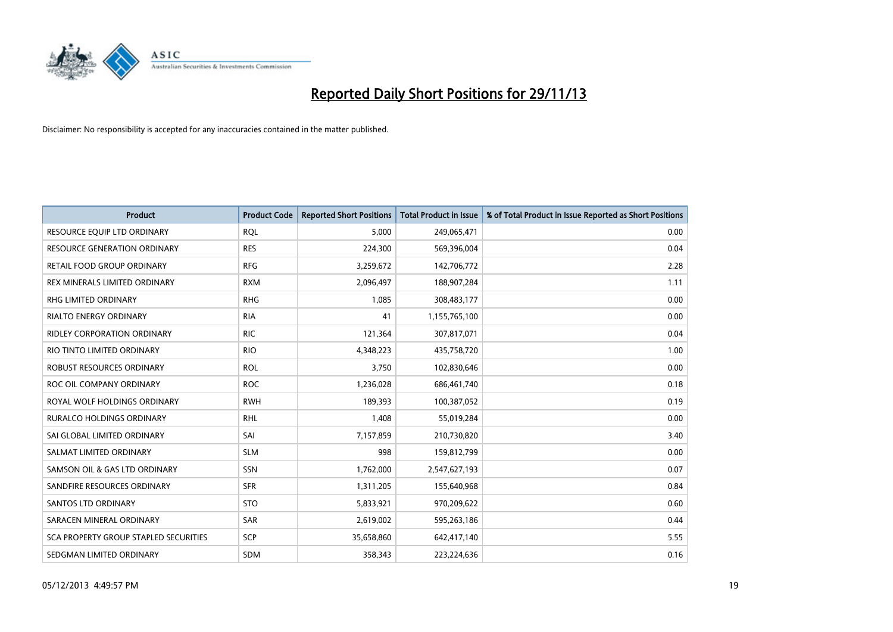

| <b>Product</b>                        | <b>Product Code</b> | <b>Reported Short Positions</b> | <b>Total Product in Issue</b> | % of Total Product in Issue Reported as Short Positions |
|---------------------------------------|---------------------|---------------------------------|-------------------------------|---------------------------------------------------------|
| RESOURCE EQUIP LTD ORDINARY           | <b>ROL</b>          | 5.000                           | 249,065,471                   | 0.00                                                    |
| <b>RESOURCE GENERATION ORDINARY</b>   | <b>RES</b>          | 224,300                         | 569,396,004                   | 0.04                                                    |
| <b>RETAIL FOOD GROUP ORDINARY</b>     | <b>RFG</b>          | 3,259,672                       | 142,706,772                   | 2.28                                                    |
| REX MINERALS LIMITED ORDINARY         | <b>RXM</b>          | 2,096,497                       | 188,907,284                   | 1.11                                                    |
| <b>RHG LIMITED ORDINARY</b>           | <b>RHG</b>          | 1,085                           | 308,483,177                   | 0.00                                                    |
| <b>RIALTO ENERGY ORDINARY</b>         | <b>RIA</b>          | 41                              | 1,155,765,100                 | 0.00                                                    |
| RIDLEY CORPORATION ORDINARY           | <b>RIC</b>          | 121,364                         | 307,817,071                   | 0.04                                                    |
| RIO TINTO LIMITED ORDINARY            | <b>RIO</b>          | 4,348,223                       | 435,758,720                   | 1.00                                                    |
| ROBUST RESOURCES ORDINARY             | <b>ROL</b>          | 3,750                           | 102,830,646                   | 0.00                                                    |
| ROC OIL COMPANY ORDINARY              | <b>ROC</b>          | 1,236,028                       | 686,461,740                   | 0.18                                                    |
| ROYAL WOLF HOLDINGS ORDINARY          | <b>RWH</b>          | 189,393                         | 100,387,052                   | 0.19                                                    |
| RURALCO HOLDINGS ORDINARY             | <b>RHL</b>          | 1,408                           | 55,019,284                    | 0.00                                                    |
| SAI GLOBAL LIMITED ORDINARY           | SAI                 | 7,157,859                       | 210,730,820                   | 3.40                                                    |
| SALMAT LIMITED ORDINARY               | <b>SLM</b>          | 998                             | 159,812,799                   | 0.00                                                    |
| SAMSON OIL & GAS LTD ORDINARY         | SSN                 | 1,762,000                       | 2,547,627,193                 | 0.07                                                    |
| SANDFIRE RESOURCES ORDINARY           | <b>SFR</b>          | 1,311,205                       | 155,640,968                   | 0.84                                                    |
| SANTOS LTD ORDINARY                   | <b>STO</b>          | 5,833,921                       | 970,209,622                   | 0.60                                                    |
| SARACEN MINERAL ORDINARY              | <b>SAR</b>          | 2,619,002                       | 595,263,186                   | 0.44                                                    |
| SCA PROPERTY GROUP STAPLED SECURITIES | <b>SCP</b>          | 35,658,860                      | 642,417,140                   | 5.55                                                    |
| SEDGMAN LIMITED ORDINARY              | SDM                 | 358,343                         | 223,224,636                   | 0.16                                                    |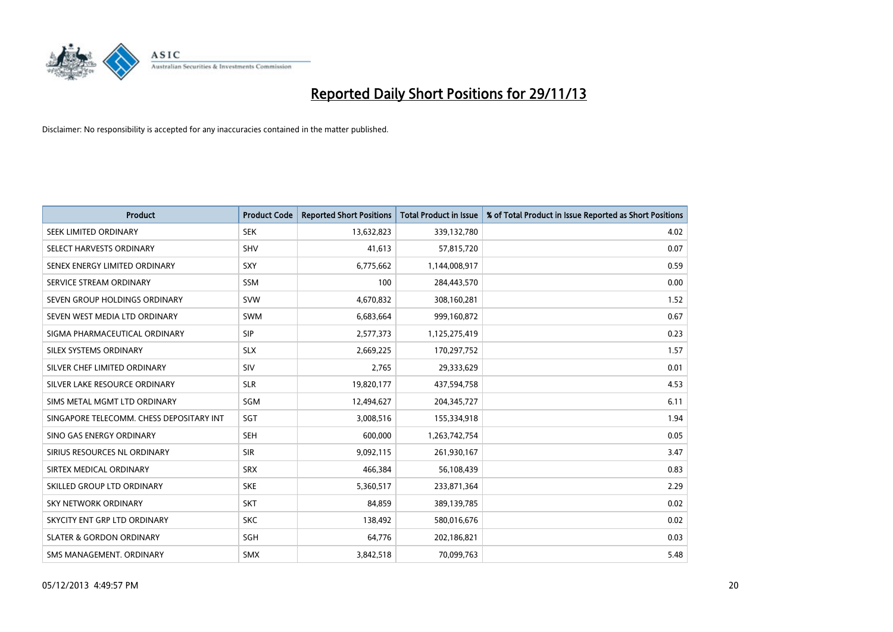

| <b>Product</b>                           | <b>Product Code</b> | <b>Reported Short Positions</b> | <b>Total Product in Issue</b> | % of Total Product in Issue Reported as Short Positions |
|------------------------------------------|---------------------|---------------------------------|-------------------------------|---------------------------------------------------------|
| SEEK LIMITED ORDINARY                    | <b>SEK</b>          | 13,632,823                      | 339,132,780                   | 4.02                                                    |
| SELECT HARVESTS ORDINARY                 | <b>SHV</b>          | 41,613                          | 57,815,720                    | 0.07                                                    |
| SENEX ENERGY LIMITED ORDINARY            | <b>SXY</b>          | 6,775,662                       | 1,144,008,917                 | 0.59                                                    |
| SERVICE STREAM ORDINARY                  | <b>SSM</b>          | 100                             | 284,443,570                   | 0.00                                                    |
| SEVEN GROUP HOLDINGS ORDINARY            | <b>SVW</b>          | 4,670,832                       | 308,160,281                   | 1.52                                                    |
| SEVEN WEST MEDIA LTD ORDINARY            | <b>SWM</b>          | 6,683,664                       | 999,160,872                   | 0.67                                                    |
| SIGMA PHARMACEUTICAL ORDINARY            | <b>SIP</b>          | 2,577,373                       | 1,125,275,419                 | 0.23                                                    |
| SILEX SYSTEMS ORDINARY                   | <b>SLX</b>          | 2,669,225                       | 170,297,752                   | 1.57                                                    |
| SILVER CHEF LIMITED ORDINARY             | SIV                 | 2,765                           | 29,333,629                    | 0.01                                                    |
| SILVER LAKE RESOURCE ORDINARY            | <b>SLR</b>          | 19,820,177                      | 437,594,758                   | 4.53                                                    |
| SIMS METAL MGMT LTD ORDINARY             | SGM                 | 12,494,627                      | 204, 345, 727                 | 6.11                                                    |
| SINGAPORE TELECOMM. CHESS DEPOSITARY INT | SGT                 | 3,008,516                       | 155,334,918                   | 1.94                                                    |
| SINO GAS ENERGY ORDINARY                 | SEH                 | 600,000                         | 1,263,742,754                 | 0.05                                                    |
| SIRIUS RESOURCES NL ORDINARY             | <b>SIR</b>          | 9,092,115                       | 261,930,167                   | 3.47                                                    |
| SIRTEX MEDICAL ORDINARY                  | <b>SRX</b>          | 466,384                         | 56,108,439                    | 0.83                                                    |
| SKILLED GROUP LTD ORDINARY               | <b>SKE</b>          | 5,360,517                       | 233,871,364                   | 2.29                                                    |
| SKY NETWORK ORDINARY                     | <b>SKT</b>          | 84,859                          | 389,139,785                   | 0.02                                                    |
| SKYCITY ENT GRP LTD ORDINARY             | <b>SKC</b>          | 138,492                         | 580,016,676                   | 0.02                                                    |
| <b>SLATER &amp; GORDON ORDINARY</b>      | SGH                 | 64,776                          | 202,186,821                   | 0.03                                                    |
| SMS MANAGEMENT. ORDINARY                 | SMX                 | 3,842,518                       | 70,099,763                    | 5.48                                                    |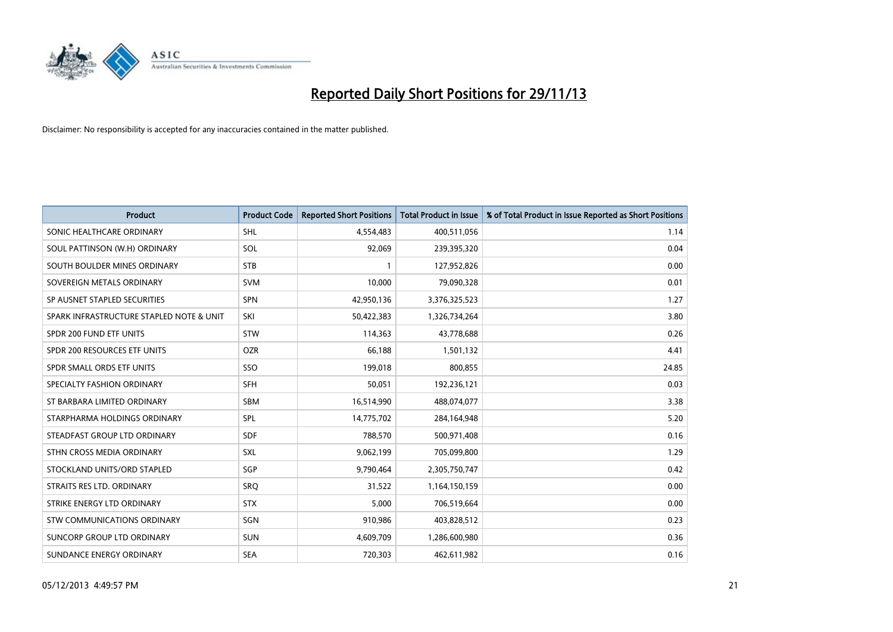

| <b>Product</b>                           | <b>Product Code</b> | <b>Reported Short Positions</b> | <b>Total Product in Issue</b> | % of Total Product in Issue Reported as Short Positions |
|------------------------------------------|---------------------|---------------------------------|-------------------------------|---------------------------------------------------------|
| SONIC HEALTHCARE ORDINARY                | <b>SHL</b>          | 4,554,483                       | 400,511,056                   | 1.14                                                    |
| SOUL PATTINSON (W.H) ORDINARY            | SOL                 | 92,069                          | 239,395,320                   | 0.04                                                    |
| SOUTH BOULDER MINES ORDINARY             | <b>STB</b>          | 1                               | 127,952,826                   | 0.00                                                    |
| SOVEREIGN METALS ORDINARY                | <b>SVM</b>          | 10,000                          | 79,090,328                    | 0.01                                                    |
| SP AUSNET STAPLED SECURITIES             | SPN                 | 42,950,136                      | 3,376,325,523                 | 1.27                                                    |
| SPARK INFRASTRUCTURE STAPLED NOTE & UNIT | SKI                 | 50,422,383                      | 1,326,734,264                 | 3.80                                                    |
| SPDR 200 FUND ETF UNITS                  | <b>STW</b>          | 114,363                         | 43,778,688                    | 0.26                                                    |
| SPDR 200 RESOURCES ETF UNITS             | <b>OZR</b>          | 66,188                          | 1,501,132                     | 4.41                                                    |
| SPDR SMALL ORDS ETF UNITS                | SSO                 | 199,018                         | 800,855                       | 24.85                                                   |
| SPECIALTY FASHION ORDINARY               | <b>SFH</b>          | 50,051                          | 192,236,121                   | 0.03                                                    |
| ST BARBARA LIMITED ORDINARY              | SBM                 | 16,514,990                      | 488,074,077                   | 3.38                                                    |
| STARPHARMA HOLDINGS ORDINARY             | <b>SPL</b>          | 14,775,702                      | 284,164,948                   | 5.20                                                    |
| STEADFAST GROUP LTD ORDINARY             | <b>SDF</b>          | 788,570                         | 500,971,408                   | 0.16                                                    |
| STHN CROSS MEDIA ORDINARY                | <b>SXL</b>          | 9,062,199                       | 705,099,800                   | 1.29                                                    |
| STOCKLAND UNITS/ORD STAPLED              | SGP                 | 9,790,464                       | 2,305,750,747                 | 0.42                                                    |
| STRAITS RES LTD. ORDINARY                | SRO                 | 31,522                          | 1,164,150,159                 | 0.00                                                    |
| STRIKE ENERGY LTD ORDINARY               | <b>STX</b>          | 5,000                           | 706,519,664                   | 0.00                                                    |
| <b>STW COMMUNICATIONS ORDINARY</b>       | SGN                 | 910,986                         | 403,828,512                   | 0.23                                                    |
| SUNCORP GROUP LTD ORDINARY               | <b>SUN</b>          | 4,609,709                       | 1,286,600,980                 | 0.36                                                    |
| SUNDANCE ENERGY ORDINARY                 | <b>SEA</b>          | 720,303                         | 462,611,982                   | 0.16                                                    |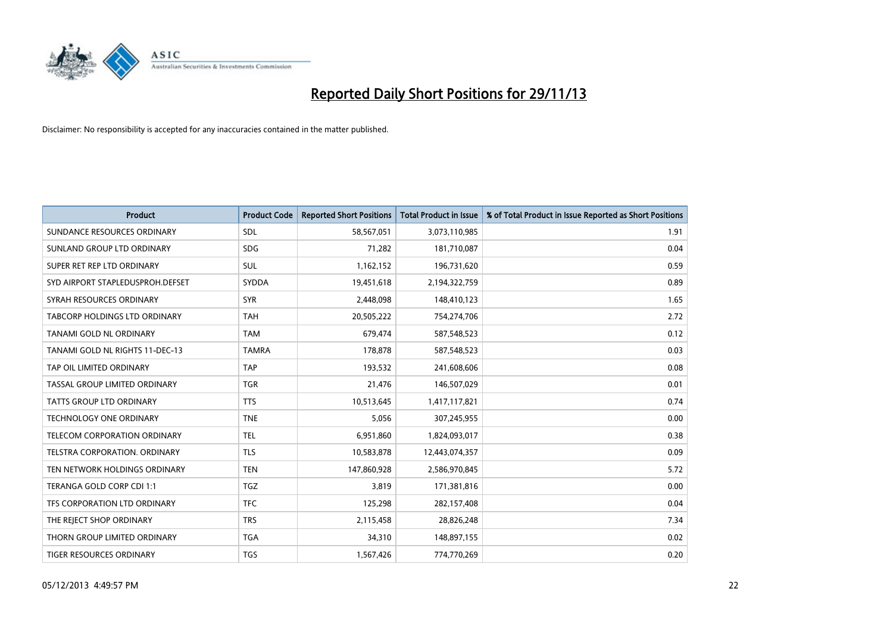

| <b>Product</b>                   | <b>Product Code</b> | <b>Reported Short Positions</b> | <b>Total Product in Issue</b> | % of Total Product in Issue Reported as Short Positions |
|----------------------------------|---------------------|---------------------------------|-------------------------------|---------------------------------------------------------|
| SUNDANCE RESOURCES ORDINARY      | <b>SDL</b>          | 58,567,051                      | 3,073,110,985                 | 1.91                                                    |
| SUNLAND GROUP LTD ORDINARY       | <b>SDG</b>          | 71,282                          | 181,710,087                   | 0.04                                                    |
| SUPER RET REP LTD ORDINARY       | SUL                 | 1,162,152                       | 196,731,620                   | 0.59                                                    |
| SYD AIRPORT STAPLEDUSPROH.DEFSET | SYDDA               | 19,451,618                      | 2,194,322,759                 | 0.89                                                    |
| SYRAH RESOURCES ORDINARY         | <b>SYR</b>          | 2,448,098                       | 148,410,123                   | 1.65                                                    |
| TABCORP HOLDINGS LTD ORDINARY    | <b>TAH</b>          | 20,505,222                      | 754,274,706                   | 2.72                                                    |
| TANAMI GOLD NL ORDINARY          | <b>TAM</b>          | 679,474                         | 587,548,523                   | 0.12                                                    |
| TANAMI GOLD NL RIGHTS 11-DEC-13  | <b>TAMRA</b>        | 178,878                         | 587,548,523                   | 0.03                                                    |
| TAP OIL LIMITED ORDINARY         | <b>TAP</b>          | 193,532                         | 241,608,606                   | 0.08                                                    |
| TASSAL GROUP LIMITED ORDINARY    | <b>TGR</b>          | 21,476                          | 146,507,029                   | 0.01                                                    |
| TATTS GROUP LTD ORDINARY         | <b>TTS</b>          | 10,513,645                      | 1,417,117,821                 | 0.74                                                    |
| <b>TECHNOLOGY ONE ORDINARY</b>   | <b>TNE</b>          | 5,056                           | 307,245,955                   | 0.00                                                    |
| TELECOM CORPORATION ORDINARY     | <b>TEL</b>          | 6,951,860                       | 1,824,093,017                 | 0.38                                                    |
| TELSTRA CORPORATION, ORDINARY    | <b>TLS</b>          | 10,583,878                      | 12,443,074,357                | 0.09                                                    |
| TEN NETWORK HOLDINGS ORDINARY    | <b>TEN</b>          | 147,860,928                     | 2,586,970,845                 | 5.72                                                    |
| TERANGA GOLD CORP CDI 1:1        | <b>TGZ</b>          | 3,819                           | 171,381,816                   | 0.00                                                    |
| TFS CORPORATION LTD ORDINARY     | <b>TFC</b>          | 125,298                         | 282,157,408                   | 0.04                                                    |
| THE REJECT SHOP ORDINARY         | <b>TRS</b>          | 2,115,458                       | 28,826,248                    | 7.34                                                    |
| THORN GROUP LIMITED ORDINARY     | <b>TGA</b>          | 34,310                          | 148,897,155                   | 0.02                                                    |
| TIGER RESOURCES ORDINARY         | <b>TGS</b>          | 1,567,426                       | 774,770,269                   | 0.20                                                    |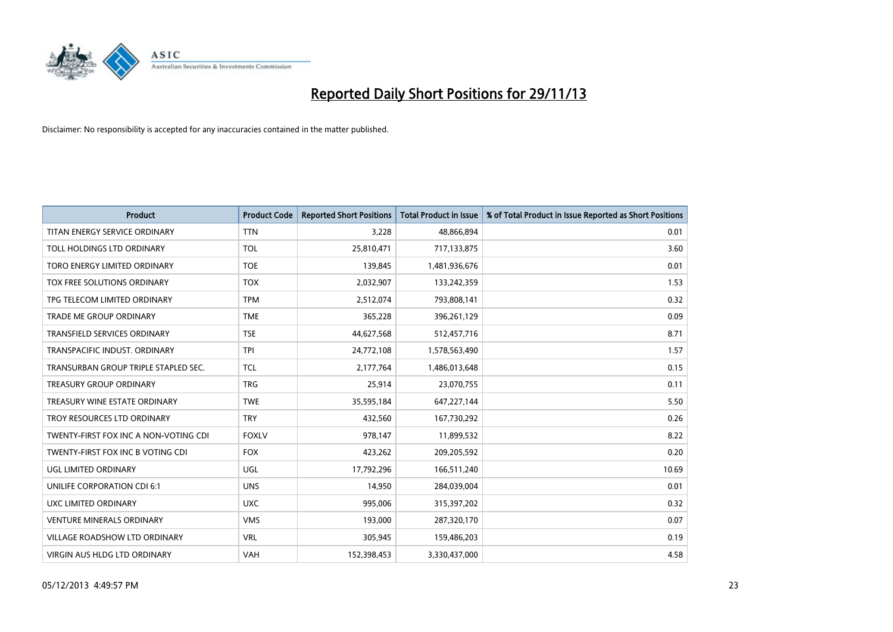

| <b>Product</b>                        | <b>Product Code</b> | <b>Reported Short Positions</b> | <b>Total Product in Issue</b> | % of Total Product in Issue Reported as Short Positions |
|---------------------------------------|---------------------|---------------------------------|-------------------------------|---------------------------------------------------------|
| TITAN ENERGY SERVICE ORDINARY         | <b>TTN</b>          | 3,228                           | 48,866,894                    | 0.01                                                    |
| TOLL HOLDINGS LTD ORDINARY            | <b>TOL</b>          | 25,810,471                      | 717,133,875                   | 3.60                                                    |
| TORO ENERGY LIMITED ORDINARY          | <b>TOE</b>          | 139,845                         | 1,481,936,676                 | 0.01                                                    |
| TOX FREE SOLUTIONS ORDINARY           | <b>TOX</b>          | 2,032,907                       | 133,242,359                   | 1.53                                                    |
| TPG TELECOM LIMITED ORDINARY          | <b>TPM</b>          | 2,512,074                       | 793,808,141                   | 0.32                                                    |
| <b>TRADE ME GROUP ORDINARY</b>        | <b>TME</b>          | 365,228                         | 396,261,129                   | 0.09                                                    |
| TRANSFIELD SERVICES ORDINARY          | <b>TSE</b>          | 44,627,568                      | 512,457,716                   | 8.71                                                    |
| TRANSPACIFIC INDUST. ORDINARY         | <b>TPI</b>          | 24,772,108                      | 1,578,563,490                 | 1.57                                                    |
| TRANSURBAN GROUP TRIPLE STAPLED SEC.  | <b>TCL</b>          | 2,177,764                       | 1,486,013,648                 | 0.15                                                    |
| <b>TREASURY GROUP ORDINARY</b>        | <b>TRG</b>          | 25,914                          | 23,070,755                    | 0.11                                                    |
| TREASURY WINE ESTATE ORDINARY         | <b>TWE</b>          | 35,595,184                      | 647,227,144                   | 5.50                                                    |
| TROY RESOURCES LTD ORDINARY           | <b>TRY</b>          | 432,560                         | 167,730,292                   | 0.26                                                    |
| TWENTY-FIRST FOX INC A NON-VOTING CDI | <b>FOXLV</b>        | 978,147                         | 11,899,532                    | 8.22                                                    |
| TWENTY-FIRST FOX INC B VOTING CDI     | <b>FOX</b>          | 423,262                         | 209,205,592                   | 0.20                                                    |
| UGL LIMITED ORDINARY                  | UGL                 | 17,792,296                      | 166,511,240                   | 10.69                                                   |
| UNILIFE CORPORATION CDI 6:1           | <b>UNS</b>          | 14,950                          | 284,039,004                   | 0.01                                                    |
| UXC LIMITED ORDINARY                  | <b>UXC</b>          | 995,006                         | 315,397,202                   | 0.32                                                    |
| <b>VENTURE MINERALS ORDINARY</b>      | <b>VMS</b>          | 193,000                         | 287,320,170                   | 0.07                                                    |
| <b>VILLAGE ROADSHOW LTD ORDINARY</b>  | <b>VRL</b>          | 305,945                         | 159,486,203                   | 0.19                                                    |
| VIRGIN AUS HLDG LTD ORDINARY          | VAH                 | 152,398,453                     | 3,330,437,000                 | 4.58                                                    |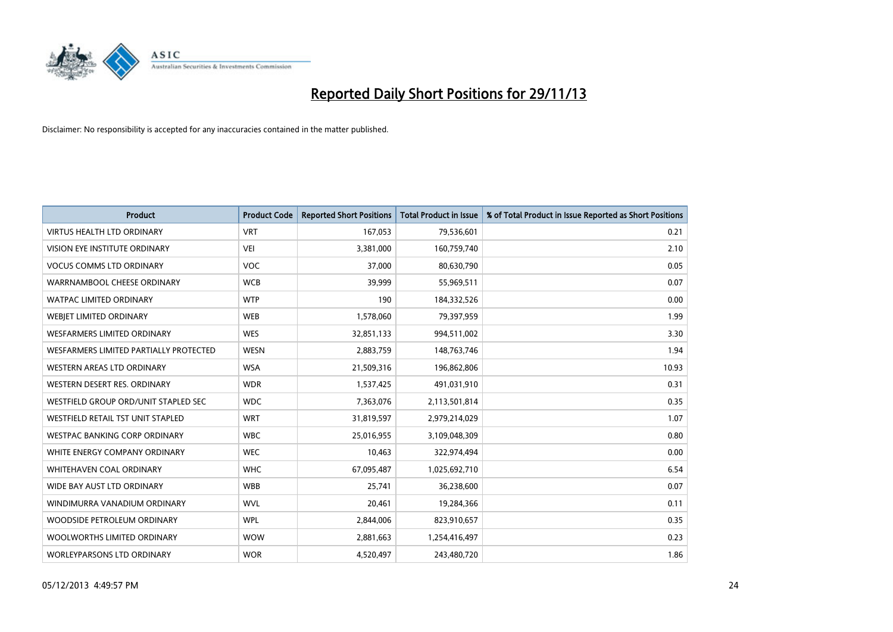

| <b>Product</b>                           | <b>Product Code</b> | <b>Reported Short Positions</b> | <b>Total Product in Issue</b> | % of Total Product in Issue Reported as Short Positions |
|------------------------------------------|---------------------|---------------------------------|-------------------------------|---------------------------------------------------------|
| <b>VIRTUS HEALTH LTD ORDINARY</b>        | <b>VRT</b>          | 167,053                         | 79,536,601                    | 0.21                                                    |
| VISION EYE INSTITUTE ORDINARY            | <b>VEI</b>          | 3,381,000                       | 160,759,740                   | 2.10                                                    |
| <b>VOCUS COMMS LTD ORDINARY</b>          | <b>VOC</b>          | 37,000                          | 80,630,790                    | 0.05                                                    |
| WARRNAMBOOL CHEESE ORDINARY              | <b>WCB</b>          | 39,999                          | 55,969,511                    | 0.07                                                    |
| <b>WATPAC LIMITED ORDINARY</b>           | <b>WTP</b>          | 190                             | 184,332,526                   | 0.00                                                    |
| WEBJET LIMITED ORDINARY                  | <b>WEB</b>          | 1,578,060                       | 79,397,959                    | 1.99                                                    |
| <b>WESFARMERS LIMITED ORDINARY</b>       | <b>WES</b>          | 32,851,133                      | 994,511,002                   | 3.30                                                    |
| WESFARMERS LIMITED PARTIALLY PROTECTED   | <b>WESN</b>         | 2,883,759                       | 148,763,746                   | 1.94                                                    |
| WESTERN AREAS LTD ORDINARY               | <b>WSA</b>          | 21,509,316                      | 196,862,806                   | 10.93                                                   |
| WESTERN DESERT RES. ORDINARY             | <b>WDR</b>          | 1,537,425                       | 491,031,910                   | 0.31                                                    |
| WESTFIELD GROUP ORD/UNIT STAPLED SEC     | <b>WDC</b>          | 7,363,076                       | 2,113,501,814                 | 0.35                                                    |
| <b>WESTFIELD RETAIL TST UNIT STAPLED</b> | <b>WRT</b>          | 31,819,597                      | 2,979,214,029                 | 1.07                                                    |
| WESTPAC BANKING CORP ORDINARY            | <b>WBC</b>          | 25,016,955                      | 3,109,048,309                 | 0.80                                                    |
| WHITE ENERGY COMPANY ORDINARY            | <b>WEC</b>          | 10,463                          | 322,974,494                   | 0.00                                                    |
| WHITEHAVEN COAL ORDINARY                 | <b>WHC</b>          | 67,095,487                      | 1,025,692,710                 | 6.54                                                    |
| WIDE BAY AUST LTD ORDINARY               | <b>WBB</b>          | 25,741                          | 36,238,600                    | 0.07                                                    |
| WINDIMURRA VANADIUM ORDINARY             | <b>WVL</b>          | 20,461                          | 19,284,366                    | 0.11                                                    |
| WOODSIDE PETROLEUM ORDINARY              | <b>WPL</b>          | 2,844,006                       | 823,910,657                   | 0.35                                                    |
| WOOLWORTHS LIMITED ORDINARY              | <b>WOW</b>          | 2,881,663                       | 1,254,416,497                 | 0.23                                                    |
| <b>WORLEYPARSONS LTD ORDINARY</b>        | <b>WOR</b>          | 4,520,497                       | 243,480,720                   | 1.86                                                    |